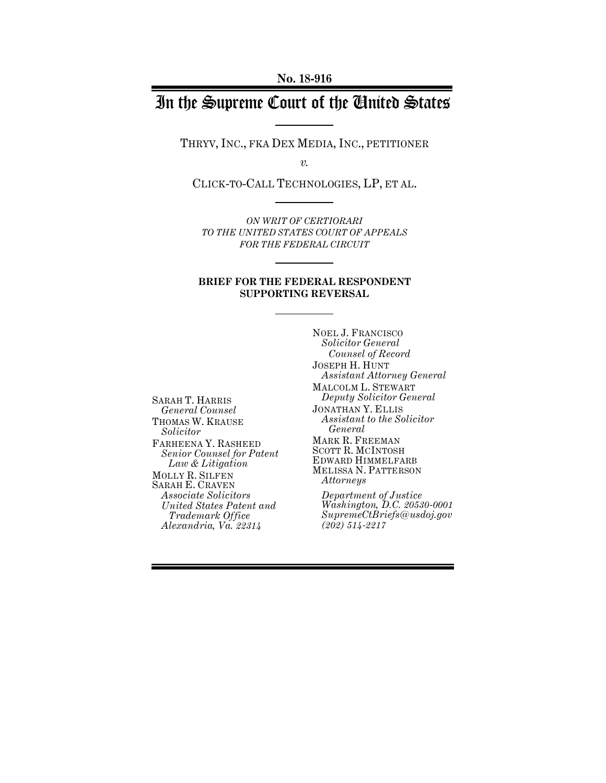# In the Supreme Court of the United States

THRYV, INC., FKA DEX MEDIA, INC., PETITIONER

*v.*

CLICK-TO-CALL TECHNOLOGIES, LP, ET AL.

*ON WRIT OF CERTIORARI TO THE UNITED STATES COURT OF APPEALS FOR THE FEDERAL CIRCUIT* 

#### **BRIEF FOR THE FEDERAL RESPONDENT SUPPORTING REVERSAL**

SARAH T. HARRIS *General Counsel* THOMAS W. KRAUSE *Solicitor* FARHEENA Y. RASHEED *Senior Counsel for Patent Law & Litigation* MOLLY R. SILFEN SARAH E. CRAVEN *Associate Solicitors United States Patent and Trademark Office Alexandria, Va. 22314*

NOEL J. FRANCISCO *Solicitor General Counsel of Record* JOSEPH H. HUNT *Assistant Attorney General* MALCOLM L. STEWART *Deputy Solicitor General* JONATHAN Y. ELLIS *Assistant to the Solicitor General* MARK R. FREEMAN SCOTT R. MCINTOSH EDWARD HIMMELFARB MELISSA N. PATTERSON *Attorneys Department of Justice Washington, D.C. 20530-0001 SupremeCtBriefs@usdoj.gov (202) 514-2217*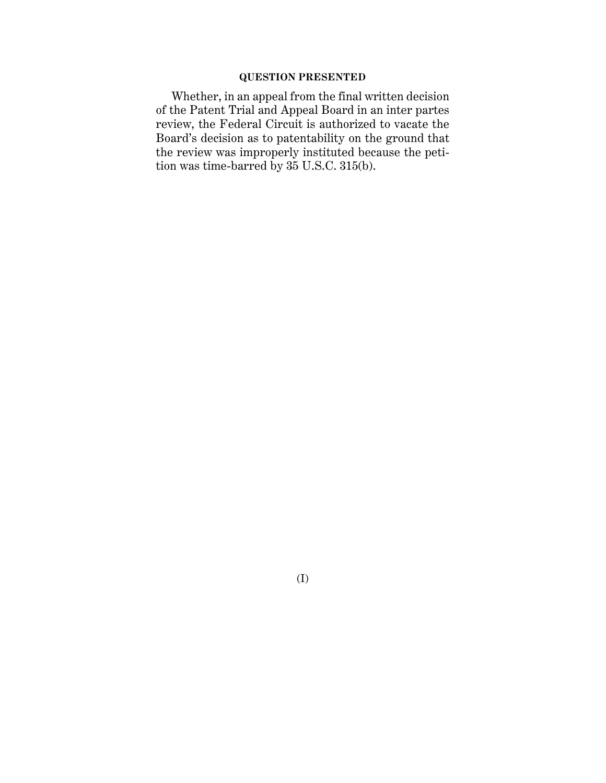## **QUESTION PRESENTED**

Whether, in an appeal from the final written decision of the Patent Trial and Appeal Board in an inter partes review, the Federal Circuit is authorized to vacate the Board's decision as to patentability on the ground that the review was improperly instituted because the petition was time-barred by 35 U.S.C. 315(b).

(I)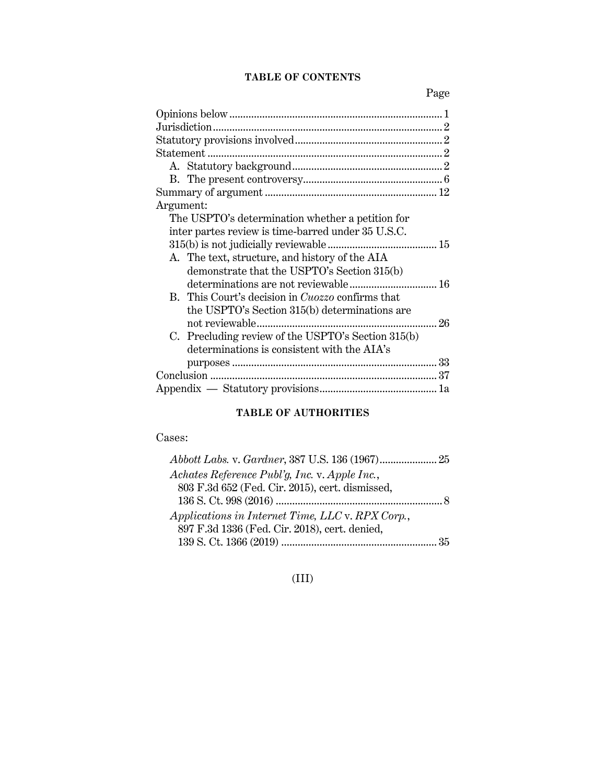## **TABLE OF CONTENTS**

Page

## **TABLE OF AUTHORITIES**

## Cases:

| Achates Reference Publ'g, Inc. v. Apple Inc.,    |  |
|--------------------------------------------------|--|
| 803 F.3d 652 (Fed. Cir. 2015), cert. dismissed,  |  |
|                                                  |  |
| Applications in Internet Time, LLC v. RPX Corp., |  |
| 897 F.3d 1336 (Fed. Cir. 2018), cert. denied,    |  |
|                                                  |  |

## (III)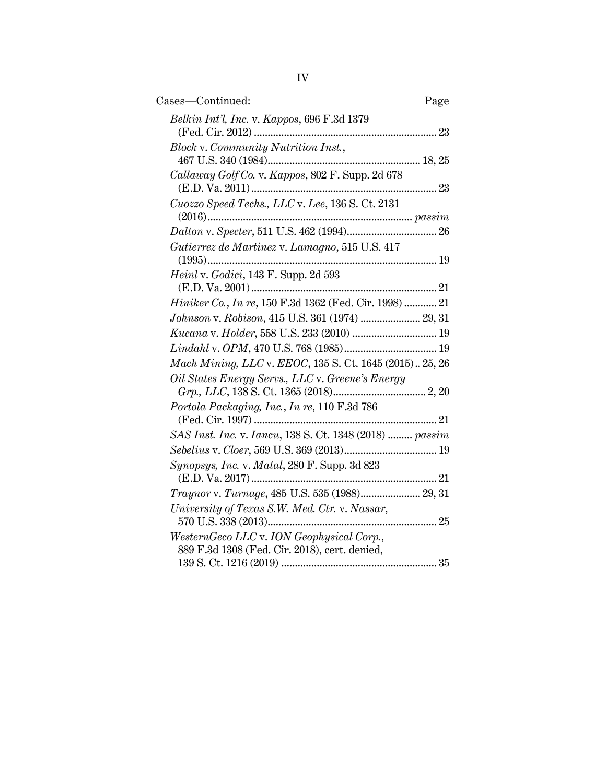| Cases—Continued:                                                                                  | Page |
|---------------------------------------------------------------------------------------------------|------|
| Belkin Int'l, Inc. v. Kappos, 696 F.3d 1379                                                       |      |
| $\label{thm:block} Block \text{ } \textsc{v. Community \;} \textit{Nutrition \;} \textit{Inst.},$ |      |
| Callaway Golf Co. v. Kappos, 802 F. Supp. 2d 678                                                  |      |
| Cuozzo Speed Techs., LLC v. Lee, 136 S. Ct. 2131                                                  |      |
|                                                                                                   |      |
|                                                                                                   |      |
| Gutierrez de Martinez v. Lamagno, 515 U.S. 417                                                    |      |
| Heinl v. Godici, 143 F. Supp. 2d 593                                                              |      |
|                                                                                                   |      |
| <i>Hiniker Co., In re, 150 F.3d 1362 (Fed. Cir. 1998)  21</i>                                     |      |
| Johnson v. Robison, 415 U.S. 361 (1974)  29, 31                                                   |      |
|                                                                                                   |      |
|                                                                                                   |      |
| Mach Mining, LLC v. EEOC, 135 S. Ct. 1645 (2015) 25, 26                                           |      |
| Oil States Energy Servs., LLC v. Greene's Energy                                                  |      |
|                                                                                                   |      |
| Portola Packaging, Inc., In re, 110 F.3d 786                                                      |      |
|                                                                                                   |      |
| SAS Inst. Inc. v. Iancu, 138 S. Ct. 1348 (2018)  passim                                           |      |
|                                                                                                   |      |
| Synopsys, Inc. v. Matal, 280 F. Supp. 3d 823<br>$(E.D. Va. 2017)$                                 |      |
| Traynor v. Turnage, 485 U.S. 535 (1988) 29, 31                                                    |      |
| University of Texas S.W. Med. Ctr. v. Nassar,                                                     |      |
| WesternGeco LLC v. ION Geophysical Corp.,                                                         |      |
| 889 F.3d 1308 (Fed. Cir. 2018), cert. denied,                                                     |      |
|                                                                                                   |      |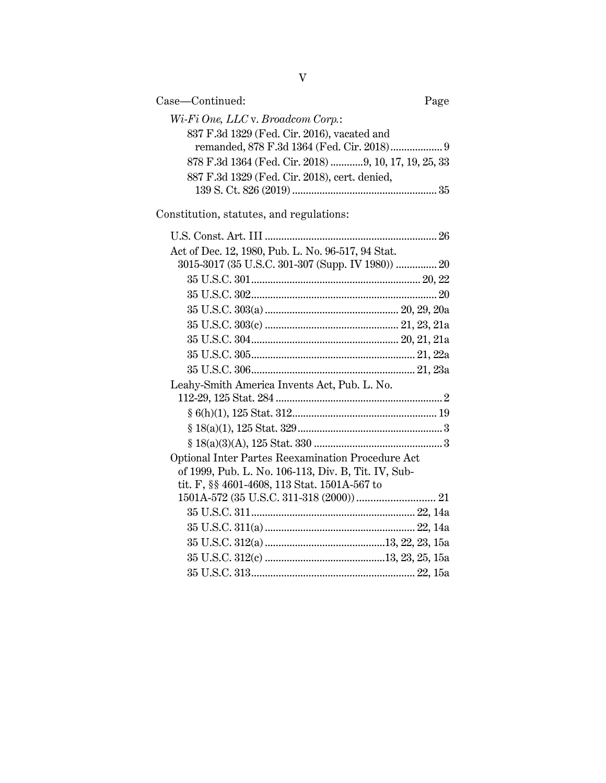| Case—Continued:                                      | Page |
|------------------------------------------------------|------|
| Wi-Fi One, LLC v. Broadcom Corp.:                    |      |
| 837 F.3d 1329 (Fed. Cir. 2016), vacated and          |      |
|                                                      |      |
| 878 F.3d 1364 (Fed. Cir. 2018) 9, 10, 17, 19, 25, 33 |      |
| 887 F.3d 1329 (Fed. Cir. 2018), cert. denied,        |      |
|                                                      |      |
| Constitution, statutes, and regulations:             |      |

| Act of Dec. 12, 1980, Pub. L. No. 96-517, 94 Stat.  |  |
|-----------------------------------------------------|--|
| 3015-3017 (35 U.S.C. 301-307 (Supp. IV 1980))  20   |  |
|                                                     |  |
|                                                     |  |
|                                                     |  |
|                                                     |  |
|                                                     |  |
|                                                     |  |
|                                                     |  |
| Leahy-Smith America Invents Act, Pub. L. No.        |  |
|                                                     |  |
|                                                     |  |
|                                                     |  |
|                                                     |  |
| Optional Inter Partes Reexamination Procedure Act   |  |
| of 1999, Pub. L. No. 106-113, Div. B, Tit. IV, Sub- |  |
| tit. F, §§ 4601-4608, 113 Stat. 1501A-567 to        |  |
|                                                     |  |
|                                                     |  |
|                                                     |  |
|                                                     |  |
|                                                     |  |
|                                                     |  |
|                                                     |  |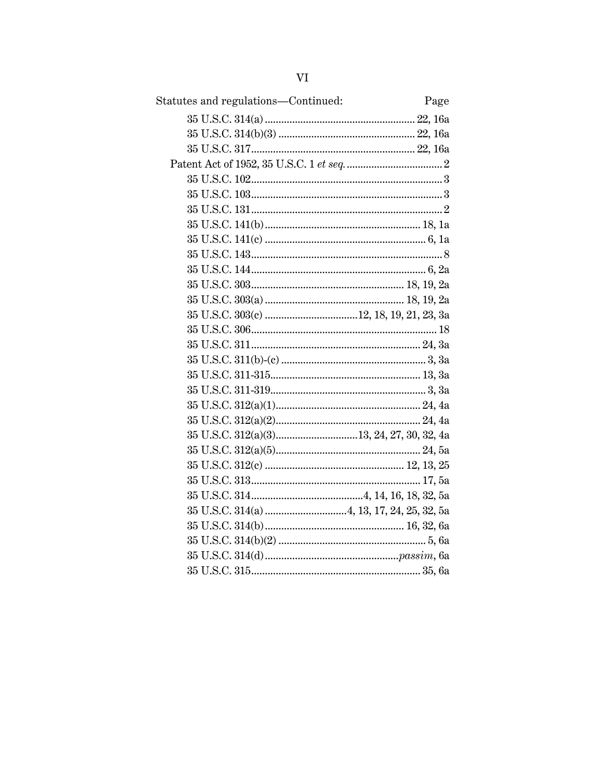| Statutes and regulations-Continued: | Page |
|-------------------------------------|------|
|                                     |      |
|                                     |      |
|                                     |      |
|                                     |      |
|                                     |      |
|                                     |      |
|                                     |      |
|                                     |      |
|                                     |      |
|                                     |      |
|                                     |      |
|                                     |      |
|                                     |      |
|                                     |      |
|                                     |      |
|                                     |      |
|                                     |      |
|                                     |      |
|                                     |      |
|                                     |      |
|                                     |      |
|                                     |      |
|                                     |      |
|                                     |      |
|                                     |      |
|                                     |      |
|                                     |      |
|                                     |      |
|                                     |      |
|                                     |      |
|                                     |      |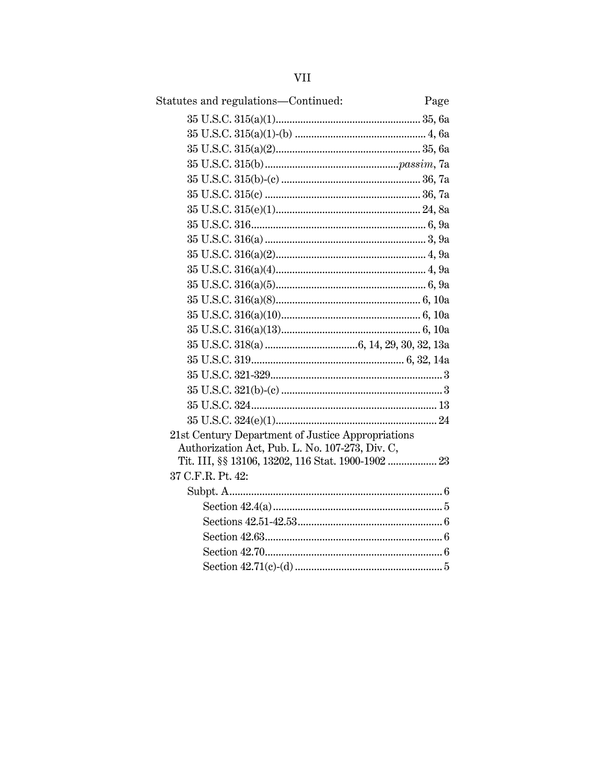| ×, |  |
|----|--|
|    |  |
|    |  |
|    |  |

| Statutes and regulations-Continued:                | Page |
|----------------------------------------------------|------|
|                                                    |      |
|                                                    |      |
|                                                    |      |
|                                                    |      |
|                                                    |      |
|                                                    |      |
|                                                    |      |
|                                                    |      |
|                                                    |      |
|                                                    |      |
|                                                    |      |
|                                                    |      |
|                                                    |      |
|                                                    |      |
|                                                    |      |
|                                                    |      |
|                                                    |      |
|                                                    |      |
|                                                    |      |
|                                                    |      |
|                                                    |      |
| 21st Century Department of Justice Appropriations  |      |
| Authorization Act, Pub. L. No. 107-273, Div. C,    |      |
| Tit. III, §§ 13106, 13202, 116 Stat. 1900-1902  23 |      |
| 37 C.F.R. Pt. 42:                                  |      |
|                                                    |      |
|                                                    |      |
|                                                    |      |
|                                                    |      |
|                                                    |      |
|                                                    |      |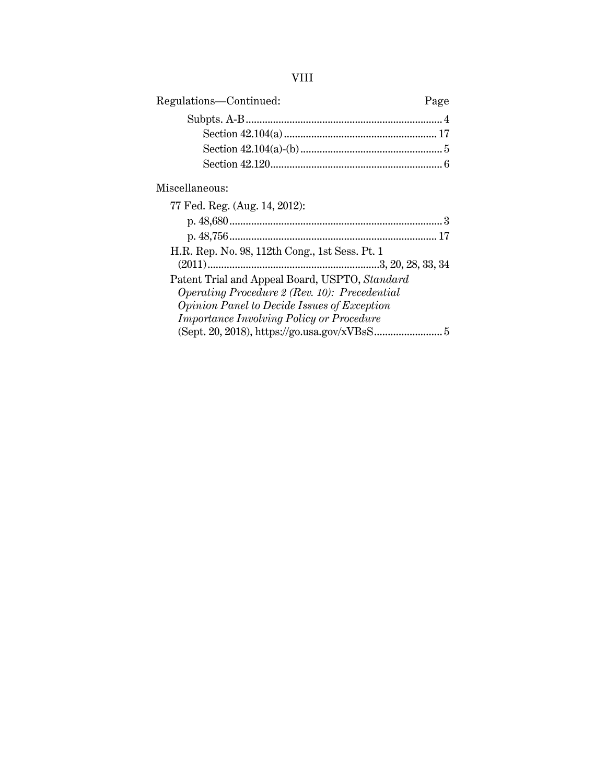| Regulations-Continued:        | Page |
|-------------------------------|------|
|                               |      |
|                               |      |
|                               |      |
|                               |      |
| Miscellaneous:                |      |
| 77 Fed. Reg. (Aug. 14, 2012): |      |
|                               |      |

| H.R. Rep. No. 98, 112th Cong., 1st Sess. Pt. 1  |  |
|-------------------------------------------------|--|
|                                                 |  |
| Patent Trial and Appeal Board, USPTO, Standard  |  |
| Operating Procedure 2 (Rev. 10): Precedential   |  |
| Opinion Panel to Decide Issues of Exception     |  |
| <i>Importance Involving Policy or Procedure</i> |  |
|                                                 |  |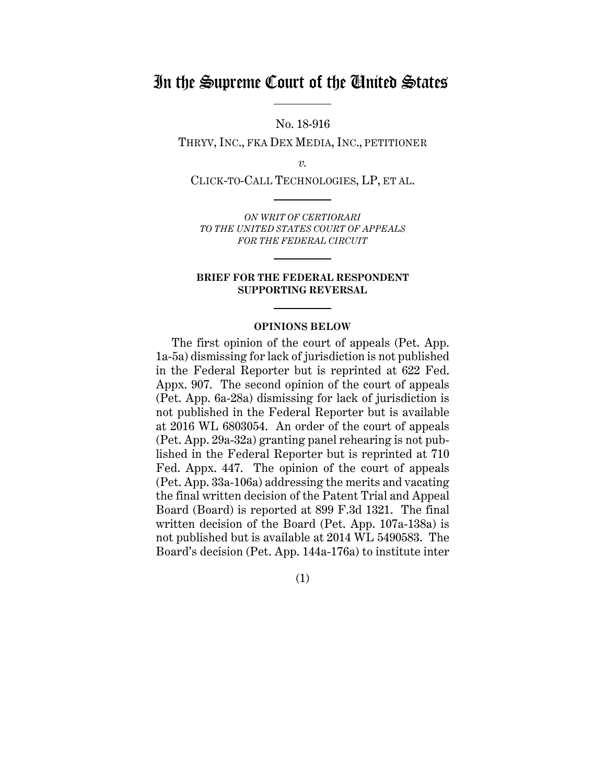## In the Supreme Court of the United States

No. 18-916

THRYV, INC., FKA DEX MEDIA, INC., PETITIONER

*v.*

CLICK-TO-CALL TECHNOLOGIES, LP, ET AL.

*ON WRIT OF CERTIORARI TO THE UNITED STATES COURT OF APPEALS FOR THE FEDERAL CIRCUIT*

#### **BRIEF FOR THE FEDERAL RESPONDENT SUPPORTING REVERSAL**

#### **OPINIONS BELOW**

The first opinion of the court of appeals (Pet. App. 1a-5a) dismissing for lack of jurisdiction is not published in the Federal Reporter but is reprinted at 622 Fed. Appx. 907. The second opinion of the court of appeals (Pet. App. 6a-28a) dismissing for lack of jurisdiction is not published in the Federal Reporter but is available at 2016 WL 6803054. An order of the court of appeals (Pet. App. 29a-32a) granting panel rehearing is not published in the Federal Reporter but is reprinted at 710 Fed. Appx. 447. The opinion of the court of appeals (Pet. App. 33a-106a) addressing the merits and vacating the final written decision of the Patent Trial and Appeal Board (Board) is reported at 899 F.3d 1321. The final written decision of the Board (Pet. App. 107a-138a) is not published but is available at 2014 WL 5490583. The Board's decision (Pet. App. 144a-176a) to institute inter

(1)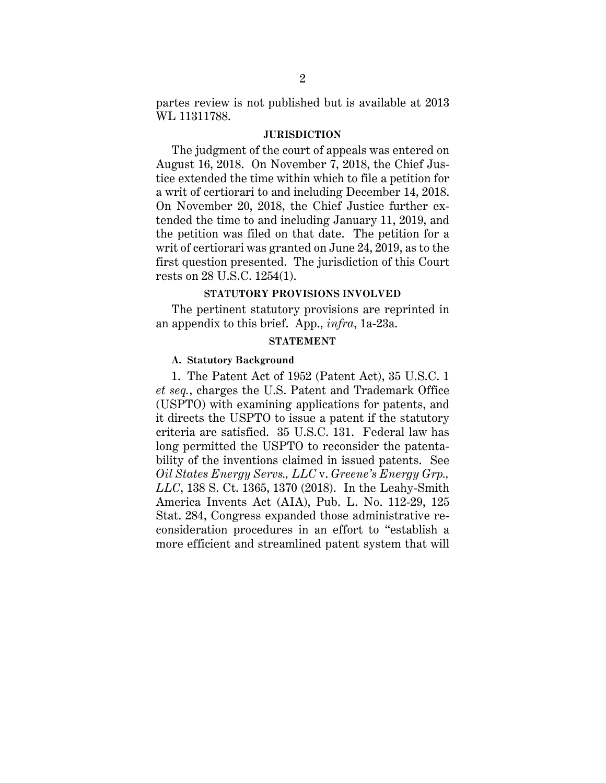partes review is not published but is available at 2013 WL 11311788.

#### **JURISDICTION**

The judgment of the court of appeals was entered on August 16, 2018. On November 7, 2018, the Chief Justice extended the time within which to file a petition for a writ of certiorari to and including December 14, 2018. On November 20, 2018, the Chief Justice further extended the time to and including January 11, 2019, and the petition was filed on that date. The petition for a writ of certiorari was granted on June 24, 2019, as to the first question presented. The jurisdiction of this Court rests on 28 U.S.C. 1254(1).

#### **STATUTORY PROVISIONS INVOLVED**

The pertinent statutory provisions are reprinted in an appendix to this brief. App., *infra*, 1a-23a.

#### **STATEMENT**

#### **A. Statutory Background**

1. The Patent Act of 1952 (Patent Act), 35 U.S.C. 1 *et seq.*, charges the U.S. Patent and Trademark Office (USPTO) with examining applications for patents, and it directs the USPTO to issue a patent if the statutory criteria are satisfied. 35 U.S.C. 131. Federal law has long permitted the USPTO to reconsider the patentability of the inventions claimed in issued patents. See *Oil States Energy Servs., LLC* v. *Greene's Energy Grp., LLC*, 138 S. Ct. 1365, 1370 (2018). In the Leahy-Smith America Invents Act (AIA), Pub. L. No. 112-29, 125 Stat. 284, Congress expanded those administrative reconsideration procedures in an effort to "establish a more efficient and streamlined patent system that will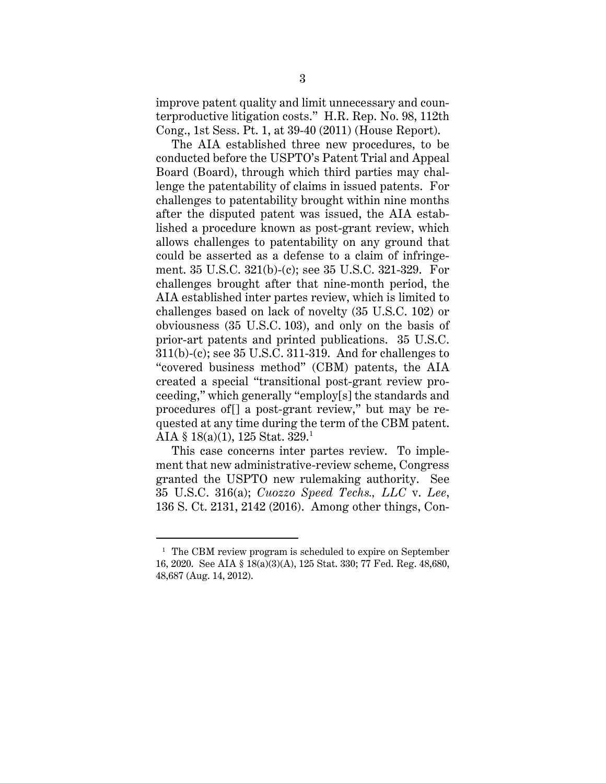improve patent quality and limit unnecessary and counterproductive litigation costs." H.R. Rep. No. 98, 112th Cong., 1st Sess. Pt. 1, at 39-40 (2011) (House Report).

The AIA established three new procedures, to be conducted before the USPTO's Patent Trial and Appeal Board (Board), through which third parties may challenge the patentability of claims in issued patents. For challenges to patentability brought within nine months after the disputed patent was issued, the AIA established a procedure known as post-grant review, which allows challenges to patentability on any ground that could be asserted as a defense to a claim of infringement. 35 U.S.C. 321(b)-(c); see 35 U.S.C. 321-329. For challenges brought after that nine-month period, the AIA established inter partes review, which is limited to challenges based on lack of novelty (35 U.S.C. 102) or obviousness (35 U.S.C. 103), and only on the basis of prior-art patents and printed publications. 35 U.S.C. 311(b)-(c); see 35 U.S.C. 311-319. And for challenges to "covered business method" (CBM) patents, the AIA created a special "transitional post-grant review proceeding," which generally "employ[s] the standards and procedures of[] a post-grant review," but may be requested at any time during the term of the CBM patent. AIA § 18(a)(1), 125 Stat. 329. 1

This case concerns inter partes review. To implement that new administrative-review scheme, Congress granted the USPTO new rulemaking authority. See 35 U.S.C. 316(a); *Cuozzo Speed Techs., LLC* v. *Lee*, 136 S. Ct. 2131, 2142 (2016). Among other things, Con-

 $\overline{a}$ 

<sup>&</sup>lt;sup>1</sup> The CBM review program is scheduled to expire on September 16, 2020. See AIA § 18(a)(3)(A), 125 Stat. 330; 77 Fed. Reg. 48,680, 48,687 (Aug. 14, 2012).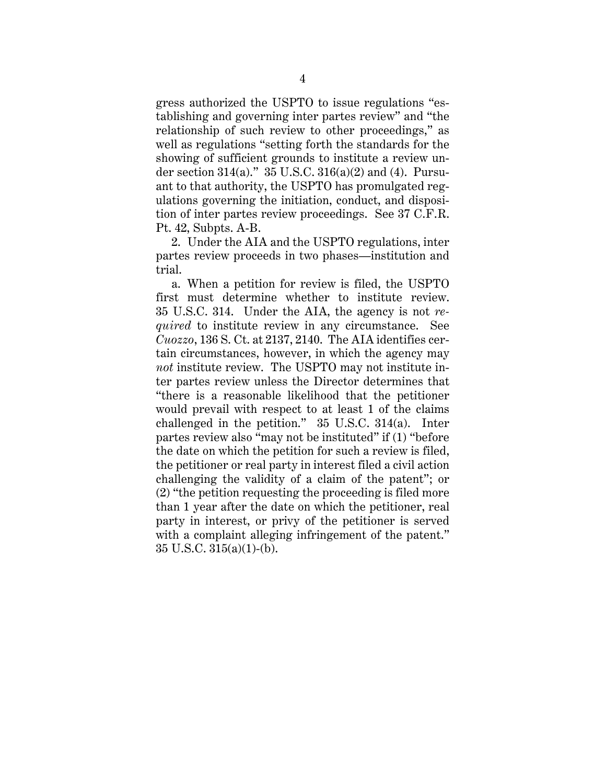gress authorized the USPTO to issue regulations "establishing and governing inter partes review" and "the relationship of such review to other proceedings," as well as regulations "setting forth the standards for the showing of sufficient grounds to institute a review under section 314(a)." 35 U.S.C. 316(a)(2) and (4). Pursuant to that authority, the USPTO has promulgated regulations governing the initiation, conduct, and disposition of inter partes review proceedings. See 37 C.F.R. Pt. 42, Subpts. A-B.

2. Under the AIA and the USPTO regulations, inter partes review proceeds in two phases—institution and trial.

a. When a petition for review is filed, the USPTO first must determine whether to institute review. 35 U.S.C. 314. Under the AIA, the agency is not *required* to institute review in any circumstance. See *Cuozzo*, 136 S. Ct. at 2137, 2140. The AIA identifies certain circumstances, however, in which the agency may *not* institute review. The USPTO may not institute inter partes review unless the Director determines that "there is a reasonable likelihood that the petitioner would prevail with respect to at least 1 of the claims challenged in the petition." 35 U.S.C. 314(a). Inter partes review also "may not be instituted" if (1) "before the date on which the petition for such a review is filed, the petitioner or real party in interest filed a civil action challenging the validity of a claim of the patent"; or (2) "the petition requesting the proceeding is filed more than 1 year after the date on which the petitioner, real party in interest, or privy of the petitioner is served with a complaint alleging infringement of the patent." 35 U.S.C. 315(a)(1)-(b).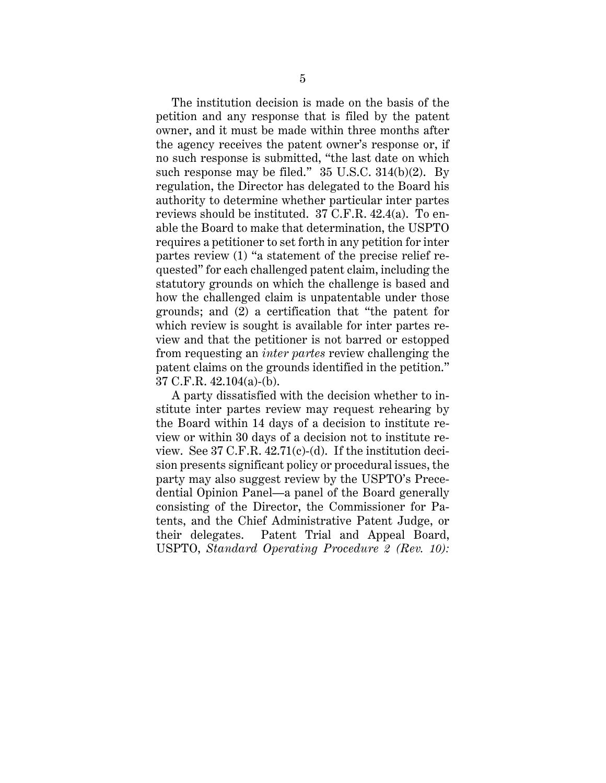The institution decision is made on the basis of the petition and any response that is filed by the patent owner, and it must be made within three months after the agency receives the patent owner's response or, if no such response is submitted, "the last date on which such response may be filed." 35 U.S.C. 314(b)(2). By regulation, the Director has delegated to the Board his authority to determine whether particular inter partes reviews should be instituted. 37 C.F.R. 42.4(a). To enable the Board to make that determination, the USPTO requires a petitioner to set forth in any petition for inter partes review (1) "a statement of the precise relief requested" for each challenged patent claim, including the statutory grounds on which the challenge is based and how the challenged claim is unpatentable under those grounds; and (2) a certification that "the patent for which review is sought is available for inter partes review and that the petitioner is not barred or estopped from requesting an *inter partes* review challenging the patent claims on the grounds identified in the petition." 37 C.F.R. 42.104(a)-(b).

A party dissatisfied with the decision whether to institute inter partes review may request rehearing by the Board within 14 days of a decision to institute review or within 30 days of a decision not to institute review. See 37 C.F.R. 42.71(c)-(d). If the institution decision presents significant policy or procedural issues, the party may also suggest review by the USPTO's Precedential Opinion Panel—a panel of the Board generally consisting of the Director, the Commissioner for Patents, and the Chief Administrative Patent Judge, or their delegates. Patent Trial and Appeal Board, USPTO, *Standard Operating Procedure 2 (Rev. 10):*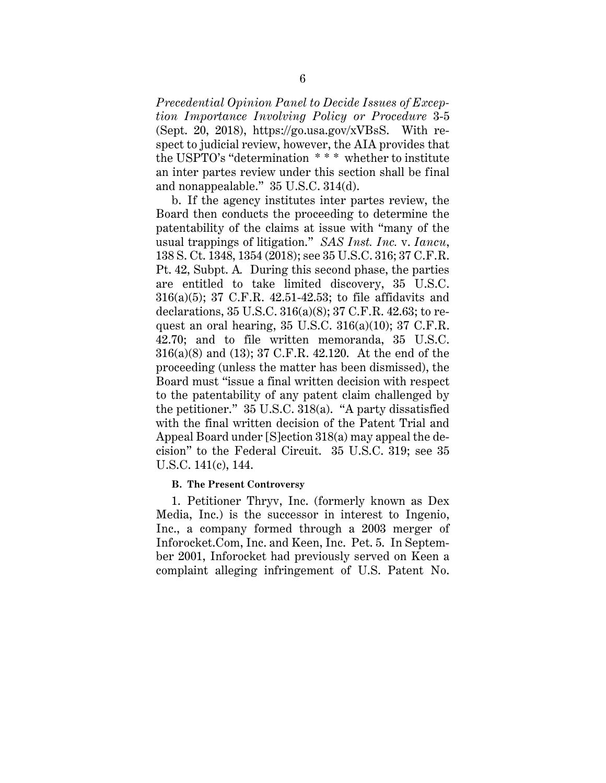*Precedential Opinion Panel to Decide Issues of Exception Importance Involving Policy or Procedure* 3-5 (Sept. 20, 2018), https://go.usa.gov/xVBsS. With respect to judicial review, however, the AIA provides that the USPTO's "determination \* \* \* whether to institute an inter partes review under this section shall be final and nonappealable." 35 U.S.C. 314(d).

b. If the agency institutes inter partes review, the Board then conducts the proceeding to determine the patentability of the claims at issue with "many of the usual trappings of litigation." *SAS Inst. Inc.* v. *Iancu*, 138 S. Ct. 1348, 1354 (2018); see 35 U.S.C. 316; 37 C.F.R. Pt. 42, Subpt. A*.* During this second phase, the parties are entitled to take limited discovery, 35 U.S.C. 316(a)(5); 37 C.F.R. 42.51-42.53; to file affidavits and declarations, 35 U.S.C. 316(a)(8); 37 C.F.R. 42.63; to request an oral hearing, 35 U.S.C. 316(a)(10); 37 C.F.R. 42.70; and to file written memoranda, 35 U.S.C. 316(a)(8) and (13); 37 C.F.R. 42.120. At the end of the proceeding (unless the matter has been dismissed), the Board must "issue a final written decision with respect to the patentability of any patent claim challenged by the petitioner." 35 U.S.C. 318(a). "A party dissatisfied with the final written decision of the Patent Trial and Appeal Board under [S]ection 318(a) may appeal the decision" to the Federal Circuit. 35 U.S.C. 319; see 35 U.S.C. 141(c), 144.

#### **B. The Present Controversy**

1. Petitioner Thryv, Inc. (formerly known as Dex Media, Inc.) is the successor in interest to Ingenio, Inc., a company formed through a 2003 merger of Inforocket.Com, Inc. and Keen, Inc. Pet. 5. In September 2001, Inforocket had previously served on Keen a complaint alleging infringement of U.S. Patent No.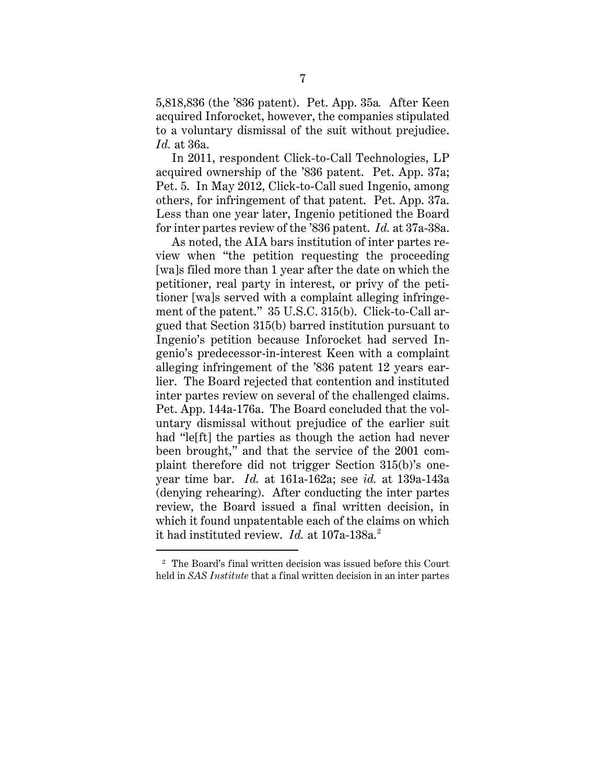5,818,836 (the '836 patent). Pet. App. 35a*.* After Keen acquired Inforocket, however, the companies stipulated to a voluntary dismissal of the suit without prejudice. *Id.* at 36a.

In 2011, respondent Click-to-Call Technologies, LP acquired ownership of the '836 patent. Pet. App. 37a; Pet. 5. In May 2012, Click-to-Call sued Ingenio, among others, for infringement of that patent. Pet. App. 37a. Less than one year later, Ingenio petitioned the Board for inter partes review of the '836 patent. *Id.* at 37a-38a.

As noted, the AIA bars institution of inter partes review when "the petition requesting the proceeding [wa]s filed more than 1 year after the date on which the petitioner, real party in interest, or privy of the petitioner [wa]s served with a complaint alleging infringement of the patent." 35 U.S.C. 315(b). Click-to-Call argued that Section 315(b) barred institution pursuant to Ingenio's petition because Inforocket had served Ingenio's predecessor-in-interest Keen with a complaint alleging infringement of the '836 patent 12 years earlier. The Board rejected that contention and instituted inter partes review on several of the challenged claims. Pet. App. 144a-176a. The Board concluded that the voluntary dismissal without prejudice of the earlier suit had "le[ft] the parties as though the action had never been brought," and that the service of the 2001 complaint therefore did not trigger Section 315(b)'s oneyear time bar. *Id.* at 161a-162a; see *id.* at 139a-143a (denying rehearing). After conducting the inter partes review, the Board issued a final written decision, in which it found unpatentable each of the claims on which it had instituted review. *Id.* at 107a-138a.<sup>2</sup>

 $\overline{a}$ 

<sup>2</sup> The Board's final written decision was issued before this Court held in *SAS Institute* that a final written decision in an inter partes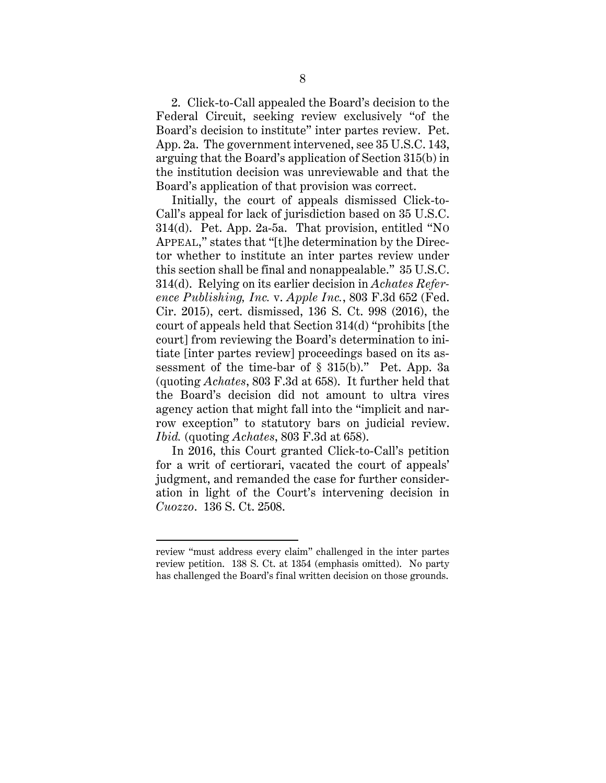2. Click-to-Call appealed the Board's decision to the Federal Circuit, seeking review exclusively "of the Board's decision to institute" inter partes review. Pet. App. 2a. The government intervened, see 35 U.S.C. 143, arguing that the Board's application of Section 315(b) in the institution decision was unreviewable and that the Board's application of that provision was correct.

Initially, the court of appeals dismissed Click-to-Call's appeal for lack of jurisdiction based on 35 U.S.C. 314(d). Pet. App. 2a-5a. That provision, entitled "NO APPEAL," states that "[t]he determination by the Director whether to institute an inter partes review under this section shall be final and nonappealable." 35 U.S.C. 314(d). Relying on its earlier decision in *Achates Reference Publishing, Inc.* v. *Apple Inc.*, 803 F.3d 652 (Fed. Cir. 2015), cert. dismissed, 136 S. Ct. 998 (2016), the court of appeals held that Section 314(d) "prohibits [the court] from reviewing the Board's determination to initiate [inter partes review] proceedings based on its assessment of the time-bar of § 315(b)." Pet. App. 3a (quoting *Achates*, 803 F.3d at 658). It further held that the Board's decision did not amount to ultra vires agency action that might fall into the "implicit and narrow exception" to statutory bars on judicial review. *Ibid.* (quoting *Achates*, 803 F.3d at 658).

In 2016, this Court granted Click-to-Call's petition for a writ of certiorari, vacated the court of appeals' judgment, and remanded the case for further consideration in light of the Court's intervening decision in *Cuozzo*. 136 S. Ct. 2508.

 $\overline{a}$ 

review "must address every claim" challenged in the inter partes review petition. 138 S. Ct. at 1354 (emphasis omitted). No party has challenged the Board's final written decision on those grounds.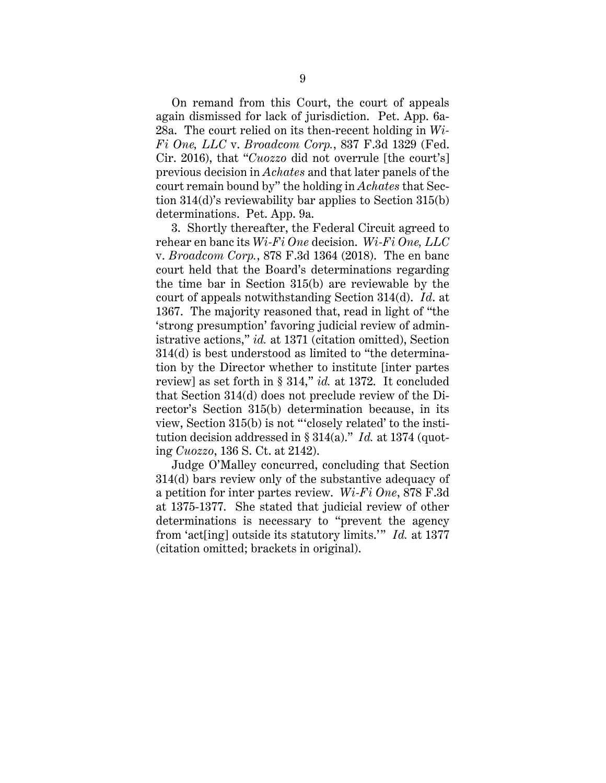On remand from this Court, the court of appeals again dismissed for lack of jurisdiction. Pet. App. 6a-28a. The court relied on its then-recent holding in *Wi-Fi One, LLC* v. *Broadcom Corp.*, 837 F.3d 1329 (Fed. Cir. 2016), that "*Cuozzo* did not overrule [the court's] previous decision in *Achates* and that later panels of the court remain bound by" the holding in *Achates* that Section 314(d)'s reviewability bar applies to Section 315(b) determinations. Pet. App. 9a.

3. Shortly thereafter, the Federal Circuit agreed to rehear en banc its *Wi-Fi One* decision. *Wi-Fi One, LLC*  v. *Broadcom Corp.*, 878 F.3d 1364 (2018). The en banc court held that the Board's determinations regarding the time bar in Section 315(b) are reviewable by the court of appeals notwithstanding Section 314(d). *Id*. at 1367. The majority reasoned that, read in light of "the 'strong presumption' favoring judicial review of administrative actions," *id.* at 1371 (citation omitted), Section 314(d) is best understood as limited to "the determination by the Director whether to institute [inter partes review] as set forth in § 314," *id.* at 1372. It concluded that Section 314(d) does not preclude review of the Director's Section 315(b) determination because, in its view, Section 315(b) is not "'closely related' to the institution decision addressed in § 314(a)." *Id.* at 1374 (quoting *Cuozzo*, 136 S. Ct. at 2142).

Judge O'Malley concurred, concluding that Section 314(d) bars review only of the substantive adequacy of a petition for inter partes review. *Wi-Fi One*, 878 F.3d at 1375-1377. She stated that judicial review of other determinations is necessary to "prevent the agency from 'act[ing] outside its statutory limits.'" *Id.* at 1377 (citation omitted; brackets in original).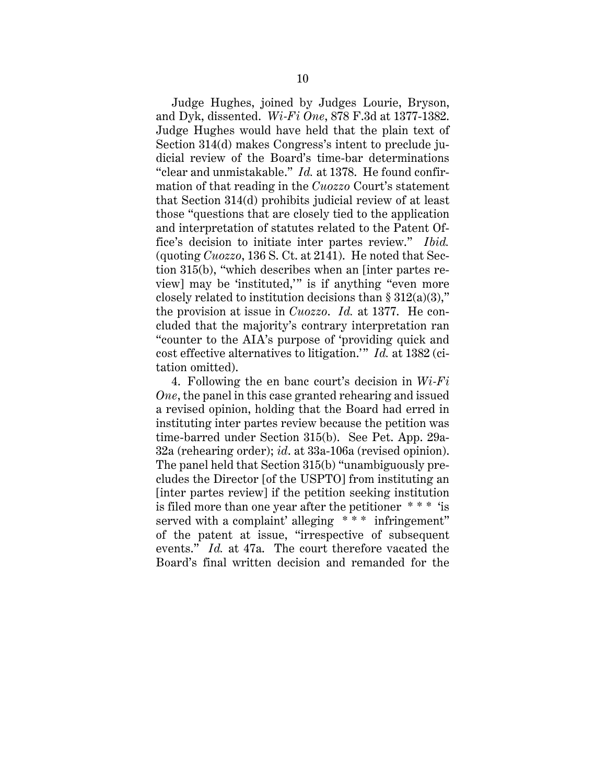Judge Hughes, joined by Judges Lourie, Bryson, and Dyk, dissented. *Wi-Fi One*, 878 F.3d at 1377-1382. Judge Hughes would have held that the plain text of Section 314(d) makes Congress's intent to preclude judicial review of the Board's time-bar determinations "clear and unmistakable." *Id.* at 1378. He found confirmation of that reading in the *Cuozzo* Court's statement that Section 314(d) prohibits judicial review of at least those "questions that are closely tied to the application and interpretation of statutes related to the Patent Office's decision to initiate inter partes review." *Ibid.*  (quoting *Cuozzo*, 136 S. Ct. at 2141). He noted that Section 315(b), "which describes when an [inter partes review] may be 'instituted,'" is if anything "even more closely related to institution decisions than  $\S 312(a)(3)$ ," the provision at issue in *Cuozzo*. *Id.* at 1377. He concluded that the majority's contrary interpretation ran "counter to the AIA's purpose of 'providing quick and cost effective alternatives to litigation.'" *Id.* at 1382 (citation omitted).

4. Following the en banc court's decision in *Wi-Fi One*, the panel in this case granted rehearing and issued a revised opinion, holding that the Board had erred in instituting inter partes review because the petition was time-barred under Section 315(b). See Pet. App. 29a-32a (rehearing order); *id*. at 33a-106a (revised opinion). The panel held that Section 315(b) "unambiguously precludes the Director [of the USPTO] from instituting an [inter partes review] if the petition seeking institution is filed more than one year after the petitioner  $***$  'is served with a complaint' alleging \*\*\* infringement" of the patent at issue, "irrespective of subsequent events." *Id.* at 47a. The court therefore vacated the Board's final written decision and remanded for the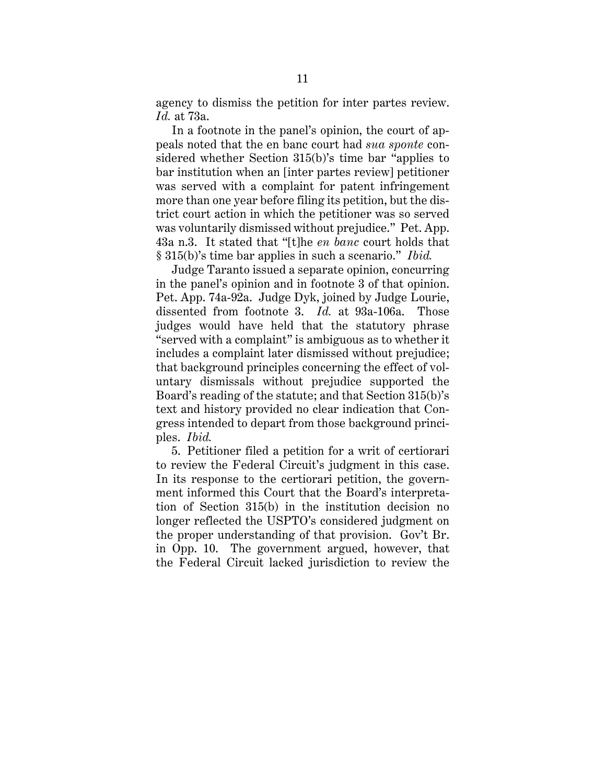agency to dismiss the petition for inter partes review. *Id.* at 73a.

In a footnote in the panel's opinion, the court of appeals noted that the en banc court had *sua sponte* considered whether Section 315(b)'s time bar "applies to bar institution when an [inter partes review] petitioner was served with a complaint for patent infringement more than one year before filing its petition, but the district court action in which the petitioner was so served was voluntarily dismissed without prejudice." Pet. App. 43a n.3. It stated that "[t]he *en banc* court holds that § 315(b)'s time bar applies in such a scenario." *Ibid.*

Judge Taranto issued a separate opinion, concurring in the panel's opinion and in footnote 3 of that opinion. Pet. App. 74a-92a. Judge Dyk, joined by Judge Lourie, dissented from footnote 3. *Id.* at 93a-106a. Those judges would have held that the statutory phrase "served with a complaint" is ambiguous as to whether it includes a complaint later dismissed without prejudice; that background principles concerning the effect of voluntary dismissals without prejudice supported the Board's reading of the statute; and that Section 315(b)'s text and history provided no clear indication that Congress intended to depart from those background principles. *Ibid.*

5. Petitioner filed a petition for a writ of certiorari to review the Federal Circuit's judgment in this case. In its response to the certiorari petition, the government informed this Court that the Board's interpretation of Section 315(b) in the institution decision no longer reflected the USPTO's considered judgment on the proper understanding of that provision. Gov't Br. in Opp. 10. The government argued, however, that the Federal Circuit lacked jurisdiction to review the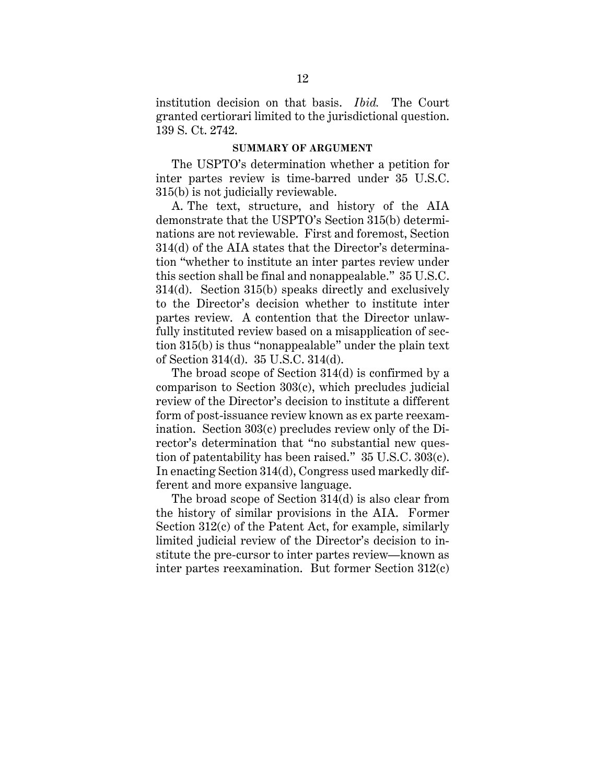institution decision on that basis. *Ibid.* The Court granted certiorari limited to the jurisdictional question. 139 S. Ct. 2742.

#### **SUMMARY OF ARGUMENT**

The USPTO's determination whether a petition for inter partes review is time-barred under 35 U.S.C. 315(b) is not judicially reviewable.

A. The text, structure, and history of the AIA demonstrate that the USPTO's Section 315(b) determinations are not reviewable. First and foremost, Section 314(d) of the AIA states that the Director's determination "whether to institute an inter partes review under this section shall be final and nonappealable." 35 U.S.C. 314(d). Section 315(b) speaks directly and exclusively to the Director's decision whether to institute inter partes review. A contention that the Director unlawfully instituted review based on a misapplication of section 315(b) is thus "nonappealable" under the plain text of Section 314(d). 35 U.S.C. 314(d).

The broad scope of Section 314(d) is confirmed by a comparison to Section 303(c), which precludes judicial review of the Director's decision to institute a different form of post-issuance review known as ex parte reexamination. Section 303(c) precludes review only of the Director's determination that "no substantial new question of patentability has been raised." 35 U.S.C. 303(c). In enacting Section 314(d), Congress used markedly different and more expansive language.

The broad scope of Section 314(d) is also clear from the history of similar provisions in the AIA. Former Section 312(c) of the Patent Act, for example, similarly limited judicial review of the Director's decision to institute the pre-cursor to inter partes review—known as inter partes reexamination. But former Section 312(c)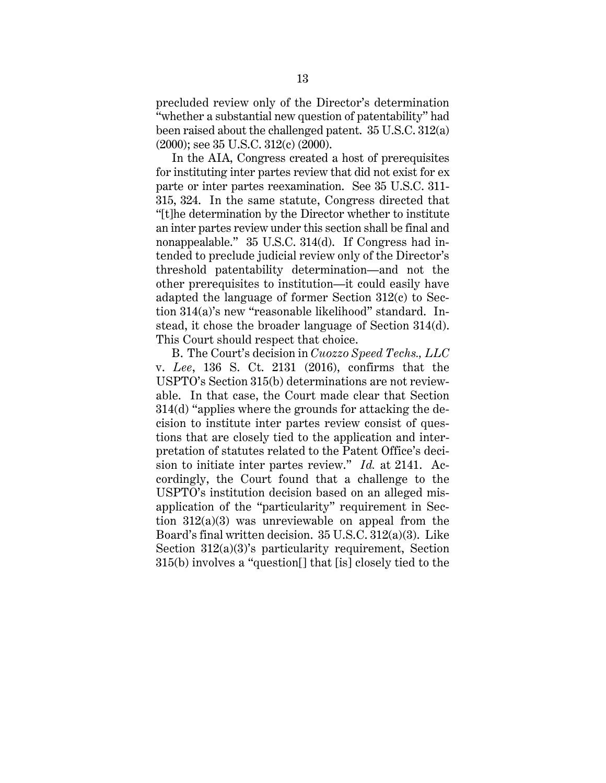precluded review only of the Director's determination "whether a substantial new question of patentability" had been raised about the challenged patent. 35 U.S.C. 312(a) (2000); see 35 U.S.C. 312(c) (2000).

In the AIA, Congress created a host of prerequisites for instituting inter partes review that did not exist for ex parte or inter partes reexamination. See 35 U.S.C. 311- 315, 324. In the same statute, Congress directed that "[t]he determination by the Director whether to institute an inter partes review under this section shall be final and nonappealable." 35 U.S.C. 314(d). If Congress had intended to preclude judicial review only of the Director's threshold patentability determination—and not the other prerequisites to institution—it could easily have adapted the language of former Section 312(c) to Section 314(a)'s new "reasonable likelihood" standard. Instead, it chose the broader language of Section 314(d). This Court should respect that choice.

B. The Court's decision in *Cuozzo Speed Techs., LLC* v. *Lee*, 136 S. Ct. 2131 (2016), confirms that the USPTO's Section 315(b) determinations are not reviewable. In that case, the Court made clear that Section 314(d) "applies where the grounds for attacking the decision to institute inter partes review consist of questions that are closely tied to the application and interpretation of statutes related to the Patent Office's decision to initiate inter partes review." *Id.* at 2141. Accordingly, the Court found that a challenge to the USPTO's institution decision based on an alleged misapplication of the "particularity" requirement in Section 312(a)(3) was unreviewable on appeal from the Board's final written decision. 35 U.S.C. 312(a)(3). Like Section 312(a)(3)'s particularity requirement, Section 315(b) involves a "question[] that [is] closely tied to the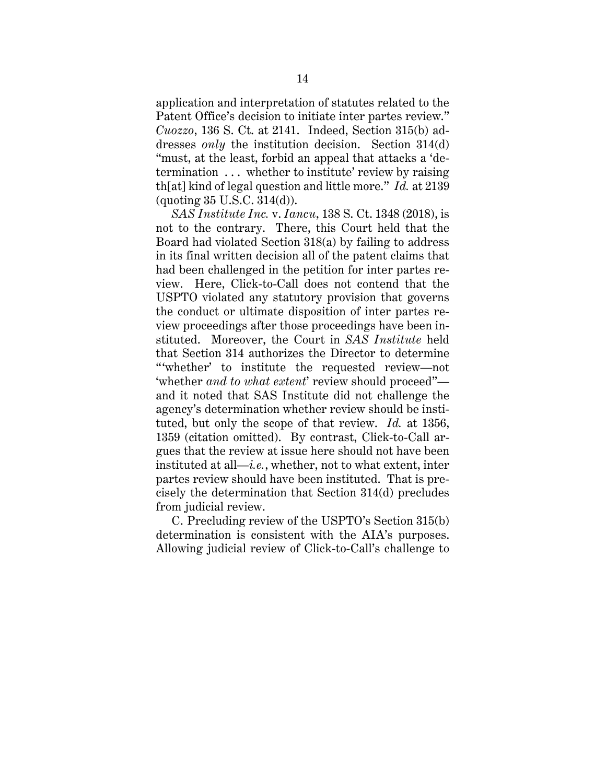application and interpretation of statutes related to the Patent Office's decision to initiate inter partes review." *Cuozzo*, 136 S. Ct. at 2141. Indeed, Section 315(b) addresses *only* the institution decision. Section 314(d) "must, at the least, forbid an appeal that attacks a 'determination . . . whether to institute' review by raising th[at] kind of legal question and little more." *Id.* at 2139 (quoting 35 U.S.C. 314(d)).

*SAS Institute Inc.* v. *Iancu*, 138 S. Ct. 1348 (2018), is not to the contrary. There, this Court held that the Board had violated Section 318(a) by failing to address in its final written decision all of the patent claims that had been challenged in the petition for inter partes review. Here, Click-to-Call does not contend that the USPTO violated any statutory provision that governs the conduct or ultimate disposition of inter partes review proceedings after those proceedings have been instituted. Moreover, the Court in *SAS Institute* held that Section 314 authorizes the Director to determine "'whether' to institute the requested review—not 'whether *and to what extent*' review should proceed" and it noted that SAS Institute did not challenge the agency's determination whether review should be instituted, but only the scope of that review. *Id.* at 1356, 1359 (citation omitted). By contrast, Click-to-Call argues that the review at issue here should not have been instituted at all—*i.e.*, whether, not to what extent, inter partes review should have been instituted. That is precisely the determination that Section 314(d) precludes from judicial review.

C. Precluding review of the USPTO's Section 315(b) determination is consistent with the AIA's purposes. Allowing judicial review of Click-to-Call's challenge to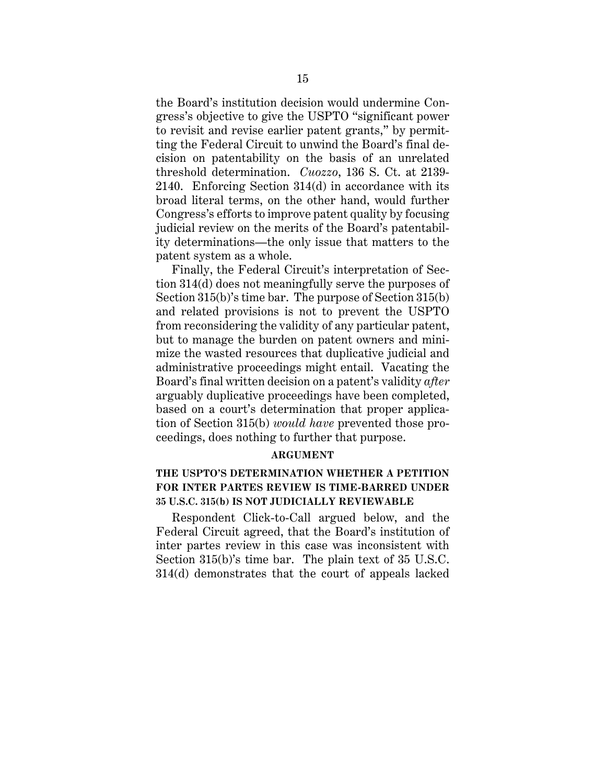the Board's institution decision would undermine Congress's objective to give the USPTO "significant power to revisit and revise earlier patent grants," by permitting the Federal Circuit to unwind the Board's final decision on patentability on the basis of an unrelated threshold determination. *Cuozzo*, 136 S. Ct. at 2139- 2140. Enforcing Section 314(d) in accordance with its broad literal terms, on the other hand, would further Congress's efforts to improve patent quality by focusing judicial review on the merits of the Board's patentability determinations—the only issue that matters to the patent system as a whole.

Finally, the Federal Circuit's interpretation of Section 314(d) does not meaningfully serve the purposes of Section 315(b)'s time bar. The purpose of Section 315(b) and related provisions is not to prevent the USPTO from reconsidering the validity of any particular patent, but to manage the burden on patent owners and minimize the wasted resources that duplicative judicial and administrative proceedings might entail. Vacating the Board's final written decision on a patent's validity *after* arguably duplicative proceedings have been completed, based on a court's determination that proper application of Section 315(b) *would have* prevented those proceedings, does nothing to further that purpose.

#### **ARGUMENT**

## **THE USPTO'S DETERMINATION WHETHER A PETITION FOR INTER PARTES REVIEW IS TIME-BARRED UNDER 35 U.S.C. 315(b) IS NOT JUDICIALLY REVIEWABLE**

Respondent Click-to-Call argued below, and the Federal Circuit agreed, that the Board's institution of inter partes review in this case was inconsistent with Section 315(b)'s time bar. The plain text of 35 U.S.C. 314(d) demonstrates that the court of appeals lacked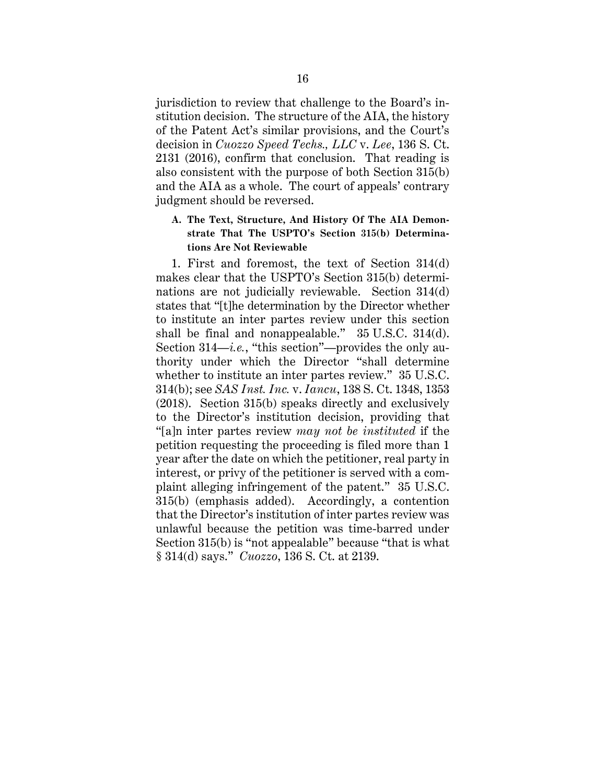jurisdiction to review that challenge to the Board's institution decision. The structure of the AIA, the history of the Patent Act's similar provisions, and the Court's decision in *Cuozzo Speed Techs., LLC* v. *Lee*, 136 S. Ct. 2131 (2016), confirm that conclusion. That reading is also consistent with the purpose of both Section 315(b) and the AIA as a whole. The court of appeals' contrary judgment should be reversed.

## **A. The Text, Structure, And History Of The AIA Demonstrate That The USPTO's Section 315(b) Determinations Are Not Reviewable**

1. First and foremost, the text of Section 314(d) makes clear that the USPTO's Section 315(b) determinations are not judicially reviewable. Section 314(d) states that "[t]he determination by the Director whether to institute an inter partes review under this section shall be final and nonappealable." 35 U.S.C. 314(d). Section 314—*i.e.*, "this section"—provides the only authority under which the Director "shall determine whether to institute an inter partes review." 35 U.S.C. 314(b); see *SAS Inst. Inc.* v. *Iancu*, 138 S. Ct. 1348, 1353 (2018). Section 315(b) speaks directly and exclusively to the Director's institution decision, providing that "[a]n inter partes review *may not be instituted* if the petition requesting the proceeding is filed more than 1 year after the date on which the petitioner, real party in interest, or privy of the petitioner is served with a complaint alleging infringement of the patent." 35 U.S.C. 315(b) (emphasis added). Accordingly, a contention that the Director's institution of inter partes review was unlawful because the petition was time-barred under Section 315(b) is "not appealable" because "that is what § 314(d) says." *Cuozzo*, 136 S. Ct. at 2139.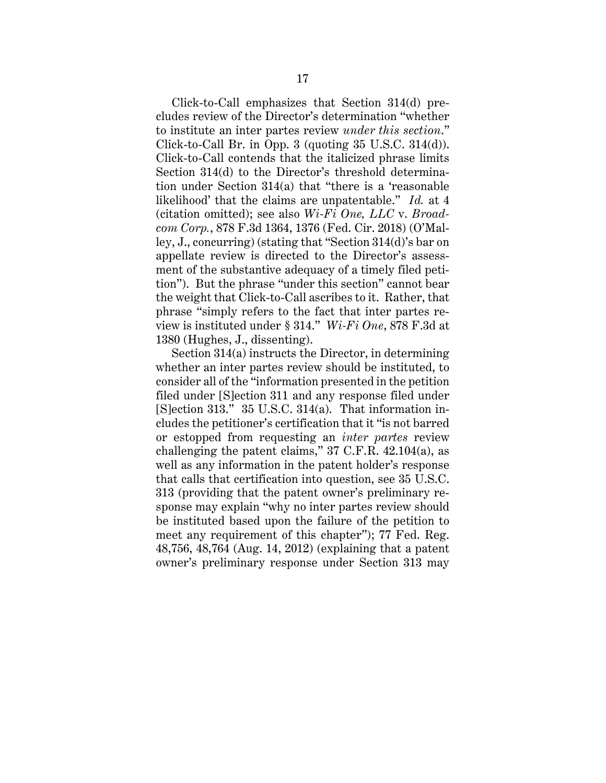Click-to-Call emphasizes that Section 314(d) precludes review of the Director's determination "whether to institute an inter partes review *under this section*." Click-to-Call Br. in Opp. 3 (quoting 35 U.S.C. 314(d)). Click-to-Call contends that the italicized phrase limits Section 314(d) to the Director's threshold determination under Section 314(a) that "there is a 'reasonable likelihood' that the claims are unpatentable." *Id.* at 4 (citation omitted); see also *Wi-Fi One, LLC* v. *Broadcom Corp.*, 878 F.3d 1364, 1376 (Fed. Cir. 2018) (O'Malley, J., concurring) (stating that "Section 314(d)'s bar on appellate review is directed to the Director's assessment of the substantive adequacy of a timely filed petition"). But the phrase "under this section" cannot bear the weight that Click-to-Call ascribes to it. Rather, that phrase "simply refers to the fact that inter partes review is instituted under § 314." *Wi-Fi One*, 878 F.3d at 1380 (Hughes, J., dissenting).

Section 314(a) instructs the Director, in determining whether an inter partes review should be instituted, to consider all of the "information presented in the petition filed under [S]ection 311 and any response filed under [S]ection 313." 35 U.S.C. 314(a). That information includes the petitioner's certification that it "is not barred or estopped from requesting an *inter partes* review challenging the patent claims,"  $37 \text{ C.F.R. } 42.104(a)$ , as well as any information in the patent holder's response that calls that certification into question, see 35 U.S.C. 313 (providing that the patent owner's preliminary response may explain "why no inter partes review should be instituted based upon the failure of the petition to meet any requirement of this chapter"); 77 Fed. Reg. 48,756, 48,764 (Aug. 14, 2012) (explaining that a patent owner's preliminary response under Section 313 may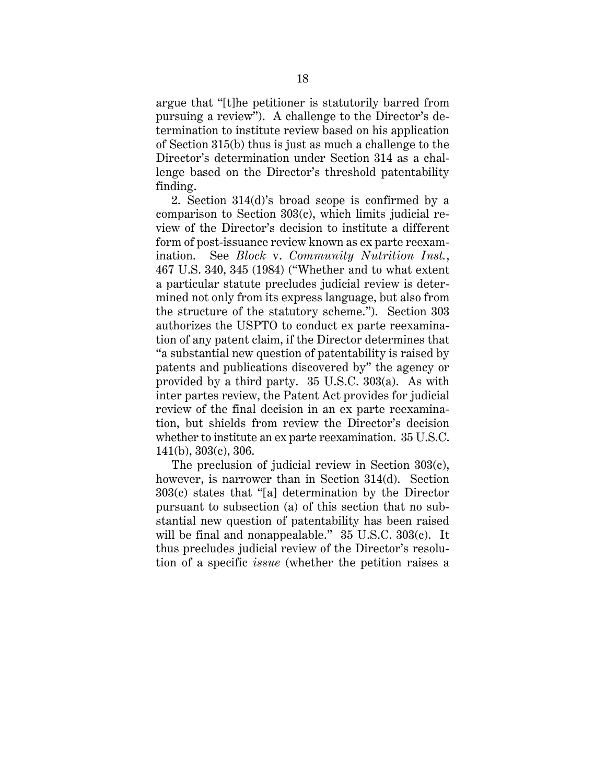argue that "[t]he petitioner is statutorily barred from pursuing a review"). A challenge to the Director's determination to institute review based on his application of Section 315(b) thus is just as much a challenge to the Director's determination under Section 314 as a challenge based on the Director's threshold patentability finding.

2. Section 314(d)'s broad scope is confirmed by a comparison to Section 303(c), which limits judicial review of the Director's decision to institute a different form of post-issuance review known as ex parte reexamination. See *Block* v. *Community Nutrition Inst.*, 467 U.S. 340, 345 (1984) ("Whether and to what extent a particular statute precludes judicial review is determined not only from its express language, but also from the structure of the statutory scheme."). Section 303 authorizes the USPTO to conduct ex parte reexamination of any patent claim, if the Director determines that "a substantial new question of patentability is raised by patents and publications discovered by" the agency or provided by a third party. 35 U.S.C. 303(a). As with inter partes review, the Patent Act provides for judicial review of the final decision in an ex parte reexamination, but shields from review the Director's decision whether to institute an ex parte reexamination. 35 U.S.C. 141(b), 303(c), 306.

The preclusion of judicial review in Section 303(c), however, is narrower than in Section 314(d). Section 303(c) states that "[a] determination by the Director pursuant to subsection (a) of this section that no substantial new question of patentability has been raised will be final and nonappealable." 35 U.S.C. 303(c). It thus precludes judicial review of the Director's resolution of a specific *issue* (whether the petition raises a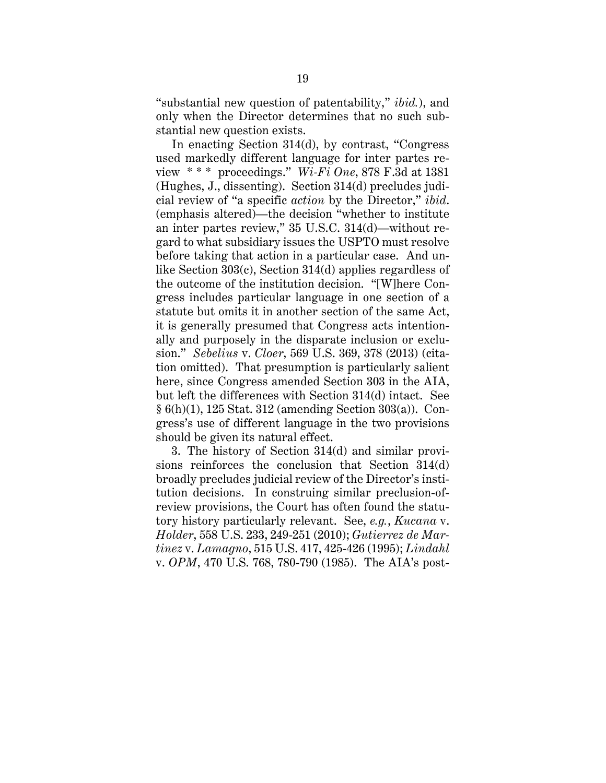"substantial new question of patentability," *ibid.*), and only when the Director determines that no such substantial new question exists.

In enacting Section 314(d), by contrast, "Congress used markedly different language for inter partes review \* \* \* proceedings." *Wi-Fi One*, 878 F.3d at 1381 (Hughes, J., dissenting). Section 314(d) precludes judicial review of "a specific *action* by the Director," *ibid*. (emphasis altered)—the decision "whether to institute an inter partes review," 35 U.S.C. 314(d)—without regard to what subsidiary issues the USPTO must resolve before taking that action in a particular case. And unlike Section 303(c), Section 314(d) applies regardless of the outcome of the institution decision. "[W]here Congress includes particular language in one section of a statute but omits it in another section of the same Act, it is generally presumed that Congress acts intentionally and purposely in the disparate inclusion or exclusion." *Sebelius* v. *Cloer*, 569 U.S. 369, 378 (2013) (citation omitted). That presumption is particularly salient here, since Congress amended Section 303 in the AIA, but left the differences with Section 314(d) intact. See § 6(h)(1), 125 Stat. 312 (amending Section 303(a)). Congress's use of different language in the two provisions should be given its natural effect.

3. The history of Section 314(d) and similar provisions reinforces the conclusion that Section 314(d) broadly precludes judicial review of the Director's institution decisions. In construing similar preclusion-ofreview provisions, the Court has often found the statutory history particularly relevant. See, *e.g.*, *Kucana* v. *Holder*, 558 U.S. 233, 249-251 (2010); *Gutierrez de Martinez* v. *Lamagno*, 515 U.S. 417, 425-426 (1995); *Lindahl* v. *OPM*, 470 U.S. 768, 780-790 (1985). The AIA's post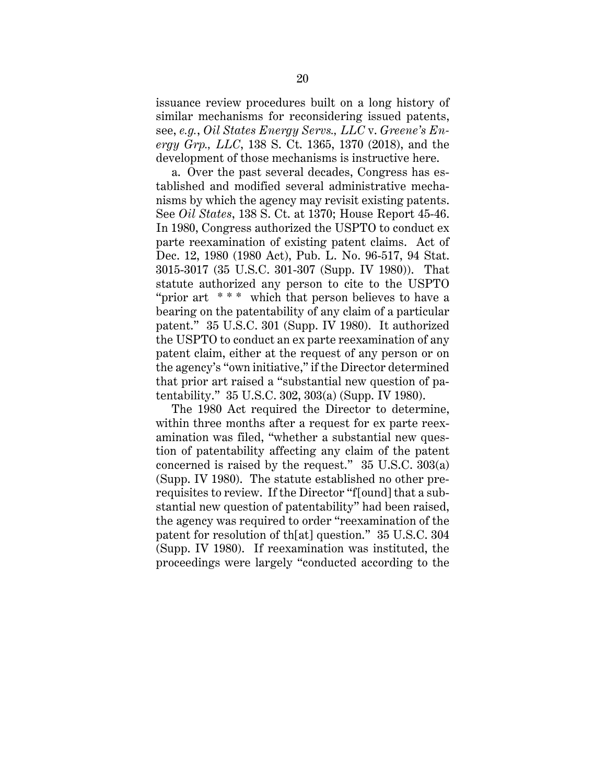issuance review procedures built on a long history of similar mechanisms for reconsidering issued patents, see, *e.g.*, *Oil States Energy Servs., LLC* v. *Greene's Energy Grp., LLC*, 138 S. Ct. 1365, 1370 (2018), and the development of those mechanisms is instructive here.

a. Over the past several decades, Congress has established and modified several administrative mechanisms by which the agency may revisit existing patents. See *Oil States*, 138 S. Ct. at 1370; House Report 45-46. In 1980, Congress authorized the USPTO to conduct ex parte reexamination of existing patent claims. Act of Dec. 12, 1980 (1980 Act), Pub. L. No. 96-517, 94 Stat. 3015-3017 (35 U.S.C. 301-307 (Supp. IV 1980)). That statute authorized any person to cite to the USPTO "prior art  $***$  which that person believes to have a bearing on the patentability of any claim of a particular patent." 35 U.S.C. 301 (Supp. IV 1980). It authorized the USPTO to conduct an ex parte reexamination of any patent claim, either at the request of any person or on the agency's "own initiative," if the Director determined that prior art raised a "substantial new question of patentability." 35 U.S.C. 302, 303(a) (Supp. IV 1980).

The 1980 Act required the Director to determine, within three months after a request for ex parte reexamination was filed, "whether a substantial new question of patentability affecting any claim of the patent concerned is raised by the request." 35 U.S.C. 303(a) (Supp. IV 1980). The statute established no other prerequisites to review. If the Director "f[ound] that a substantial new question of patentability" had been raised, the agency was required to order "reexamination of the patent for resolution of th[at] question." 35 U.S.C. 304 (Supp. IV 1980). If reexamination was instituted, the proceedings were largely "conducted according to the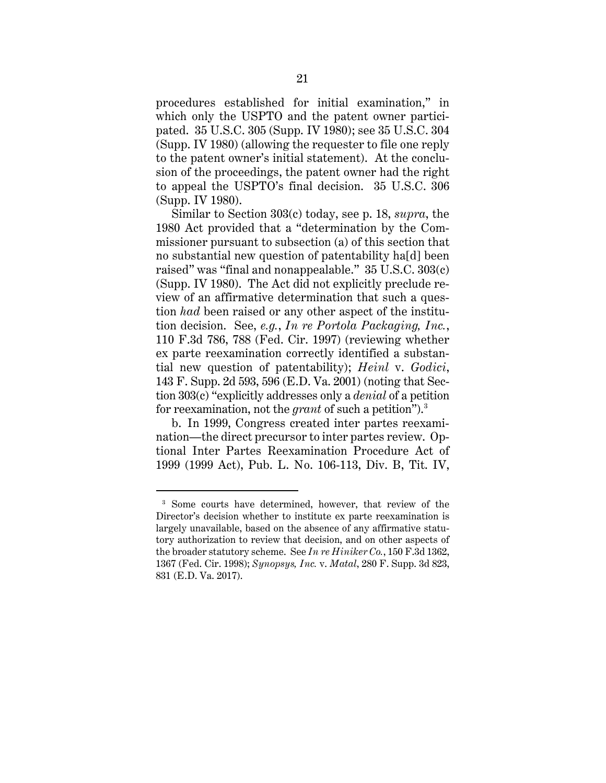procedures established for initial examination," in which only the USPTO and the patent owner participated. 35 U.S.C. 305 (Supp. IV 1980); see 35 U.S.C. 304 (Supp. IV 1980) (allowing the requester to file one reply to the patent owner's initial statement). At the conclusion of the proceedings, the patent owner had the right to appeal the USPTO's final decision. 35 U.S.C. 306 (Supp. IV 1980).

Similar to Section 303(c) today, see p. 18, *supra*, the 1980 Act provided that a "determination by the Commissioner pursuant to subsection (a) of this section that no substantial new question of patentability ha[d] been raised" was "final and nonappealable." 35 U.S.C. 303(c) (Supp. IV 1980). The Act did not explicitly preclude review of an affirmative determination that such a question *had* been raised or any other aspect of the institution decision. See, *e.g.*, *In re Portola Packaging, Inc.*, 110 F.3d 786, 788 (Fed. Cir. 1997) (reviewing whether ex parte reexamination correctly identified a substantial new question of patentability); *Heinl* v. *Godici*, 143 F. Supp. 2d 593, 596 (E.D. Va. 2001) (noting that Section 303(c) "explicitly addresses only a *denial* of a petition for reexamination, not the *grant* of such a petition").<sup>3</sup>

b. In 1999, Congress created inter partes reexamination—the direct precursor to inter partes review. Optional Inter Partes Reexamination Procedure Act of 1999 (1999 Act), Pub. L. No. 106-113, Div. B, Tit. IV,

 $\overline{a}$ 

<sup>3</sup> Some courts have determined, however, that review of the Director's decision whether to institute ex parte reexamination is largely unavailable, based on the absence of any affirmative statutory authorization to review that decision, and on other aspects of the broader statutory scheme. See *In re Hiniker Co.*, 150 F.3d 1362, 1367 (Fed. Cir. 1998); *Synopsys, Inc.* v. *Matal*, 280 F. Supp. 3d 823, 831 (E.D. Va. 2017).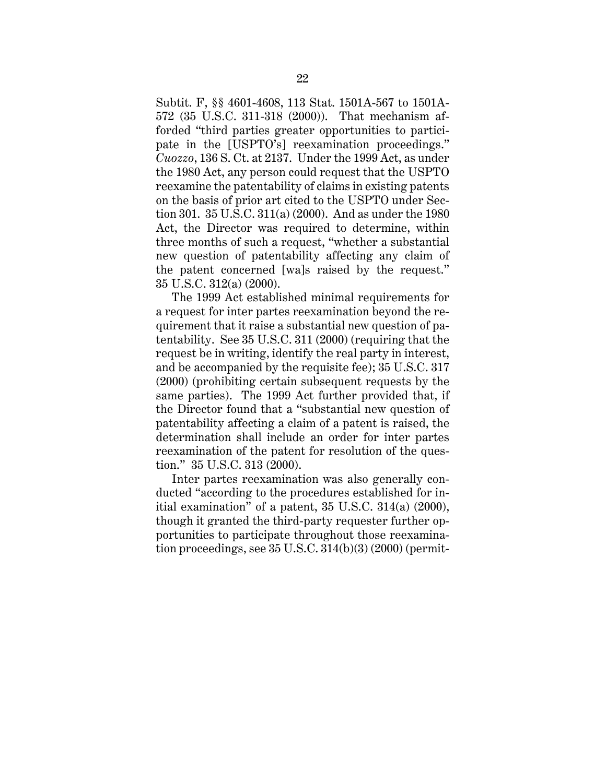Subtit. F, §§ 4601-4608, 113 Stat. 1501A-567 to 1501A-572 (35 U.S.C. 311-318 (2000)). That mechanism afforded "third parties greater opportunities to participate in the [USPTO's] reexamination proceedings." *Cuozzo*, 136 S. Ct. at 2137. Under the 1999 Act, as under the 1980 Act, any person could request that the USPTO reexamine the patentability of claims in existing patents on the basis of prior art cited to the USPTO under Section 301. 35 U.S.C. 311(a) (2000). And as under the 1980 Act, the Director was required to determine, within three months of such a request, "whether a substantial new question of patentability affecting any claim of the patent concerned [wa]s raised by the request." 35 U.S.C. 312(a) (2000).

The 1999 Act established minimal requirements for a request for inter partes reexamination beyond the requirement that it raise a substantial new question of patentability. See 35 U.S.C. 311 (2000) (requiring that the request be in writing, identify the real party in interest, and be accompanied by the requisite fee); 35 U.S.C. 317 (2000) (prohibiting certain subsequent requests by the same parties). The 1999 Act further provided that, if the Director found that a "substantial new question of patentability affecting a claim of a patent is raised, the determination shall include an order for inter partes reexamination of the patent for resolution of the question." 35 U.S.C. 313 (2000).

Inter partes reexamination was also generally conducted "according to the procedures established for initial examination" of a patent, 35 U.S.C. 314(a) (2000), though it granted the third-party requester further opportunities to participate throughout those reexamination proceedings, see 35 U.S.C. 314(b)(3) (2000) (permit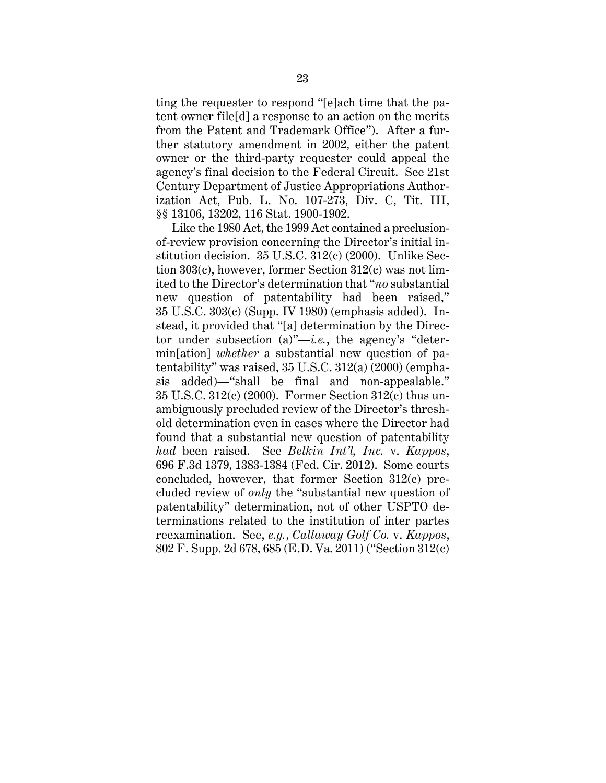ting the requester to respond "[e]ach time that the patent owner file[d] a response to an action on the merits from the Patent and Trademark Office"). After a further statutory amendment in 2002, either the patent owner or the third-party requester could appeal the agency's final decision to the Federal Circuit. See 21st Century Department of Justice Appropriations Authorization Act, Pub. L. No. 107-273, Div. C, Tit. III, §§ 13106, 13202, 116 Stat. 1900-1902.

Like the 1980 Act, the 1999 Act contained a preclusionof-review provision concerning the Director's initial institution decision. 35 U.S.C. 312(c) (2000). Unlike Section 303(c), however, former Section 312(c) was not limited to the Director's determination that "*no* substantial new question of patentability had been raised," 35 U.S.C. 303(c) (Supp. IV 1980) (emphasis added). Instead, it provided that "[a] determination by the Director under subsection (a)"—*i.e.*, the agency's "determin[ation] *whether* a substantial new question of patentability" was raised, 35 U.S.C. 312(a) (2000) (emphasis added)—"shall be final and non-appealable." 35 U.S.C. 312(c) (2000). Former Section 312(c) thus unambiguously precluded review of the Director's threshold determination even in cases where the Director had found that a substantial new question of patentability *had* been raised. See *Belkin Int'l, Inc.* v. *Kappos*, 696 F.3d 1379, 1383-1384 (Fed. Cir. 2012). Some courts concluded, however, that former Section 312(c) precluded review of *only* the "substantial new question of patentability" determination, not of other USPTO determinations related to the institution of inter partes reexamination. See, *e.g.*, *Callaway Golf Co.* v. *Kappos*, 802 F. Supp. 2d 678, 685 (E.D. Va. 2011) ("Section 312(c)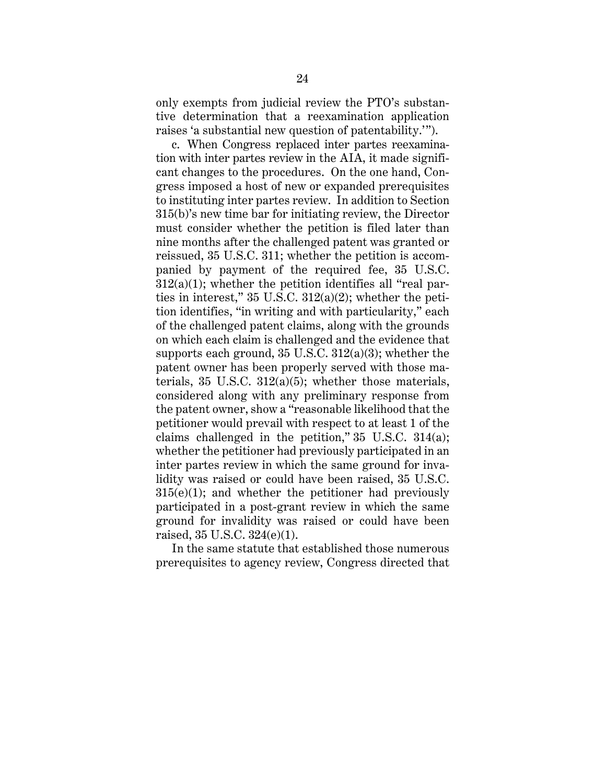only exempts from judicial review the PTO's substantive determination that a reexamination application raises 'a substantial new question of patentability.'").

c. When Congress replaced inter partes reexamination with inter partes review in the AIA, it made significant changes to the procedures. On the one hand, Congress imposed a host of new or expanded prerequisites to instituting inter partes review. In addition to Section 315(b)'s new time bar for initiating review, the Director must consider whether the petition is filed later than nine months after the challenged patent was granted or reissued, 35 U.S.C. 311; whether the petition is accompanied by payment of the required fee, 35 U.S.C.  $312(a)(1)$ ; whether the petition identifies all "real parties in interest," 35 U.S.C. 312(a)(2); whether the petition identifies, "in writing and with particularity," each of the challenged patent claims, along with the grounds on which each claim is challenged and the evidence that supports each ground, 35 U.S.C. 312(a)(3); whether the patent owner has been properly served with those materials,  $35 \text{ U.S.C. } 312(a)(5)$ ; whether those materials, considered along with any preliminary response from the patent owner, show a "reasonable likelihood that the petitioner would prevail with respect to at least 1 of the claims challenged in the petition," 35 U.S.C. 314(a); whether the petitioner had previously participated in an inter partes review in which the same ground for invalidity was raised or could have been raised, 35 U.S.C.  $315(e)(1)$ ; and whether the petitioner had previously participated in a post-grant review in which the same ground for invalidity was raised or could have been raised, 35 U.S.C. 324(e)(1).

In the same statute that established those numerous prerequisites to agency review, Congress directed that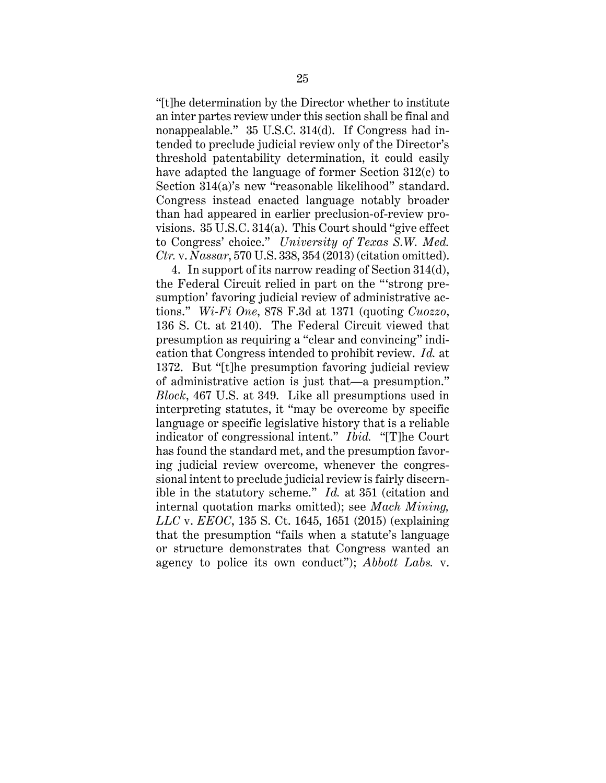"[t]he determination by the Director whether to institute an inter partes review under this section shall be final and nonappealable." 35 U.S.C. 314(d). If Congress had intended to preclude judicial review only of the Director's threshold patentability determination, it could easily have adapted the language of former Section 312(c) to Section 314(a)'s new "reasonable likelihood" standard. Congress instead enacted language notably broader than had appeared in earlier preclusion-of-review provisions. 35 U.S.C. 314(a). This Court should "give effect to Congress' choice." *University of Texas S.W. Med. Ctr.* v. *Nassar*, 570 U.S. 338, 354 (2013) (citation omitted).

4. In support of its narrow reading of Section 314(d), the Federal Circuit relied in part on the "'strong presumption' favoring judicial review of administrative actions." *Wi-Fi One*, 878 F.3d at 1371 (quoting *Cuozzo*, 136 S. Ct. at 2140). The Federal Circuit viewed that presumption as requiring a "clear and convincing" indication that Congress intended to prohibit review. *Id.* at 1372. But "[t]he presumption favoring judicial review of administrative action is just that—a presumption." *Block*, 467 U.S. at 349. Like all presumptions used in interpreting statutes, it "may be overcome by specific language or specific legislative history that is a reliable indicator of congressional intent." *Ibid.* "[T]he Court has found the standard met, and the presumption favoring judicial review overcome, whenever the congressional intent to preclude judicial review is fairly discernible in the statutory scheme." *Id.* at 351 (citation and internal quotation marks omitted); see *Mach Mining, LLC* v. *EEOC*, 135 S. Ct. 1645, 1651 (2015) (explaining that the presumption "fails when a statute's language or structure demonstrates that Congress wanted an agency to police its own conduct"); *Abbott Labs.* v.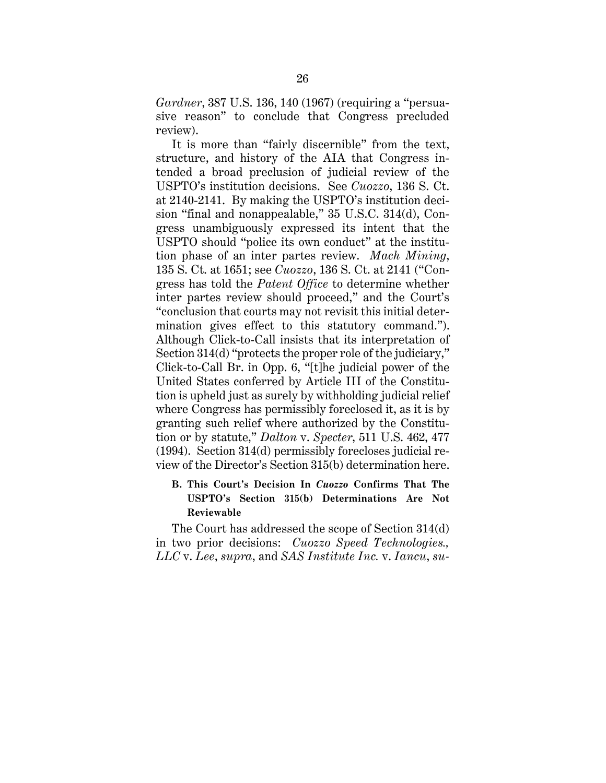*Gardner*, 387 U.S. 136, 140 (1967) (requiring a "persuasive reason" to conclude that Congress precluded review).

It is more than "fairly discernible" from the text, structure, and history of the AIA that Congress intended a broad preclusion of judicial review of the USPTO's institution decisions. See *Cuozzo*, 136 S. Ct. at 2140-2141. By making the USPTO's institution decision "final and nonappealable," 35 U.S.C. 314(d), Congress unambiguously expressed its intent that the USPTO should "police its own conduct" at the institution phase of an inter partes review. *Mach Mining*, 135 S. Ct. at 1651; see *Cuozzo*, 136 S. Ct. at 2141 ("Congress has told the *Patent Office* to determine whether inter partes review should proceed," and the Court's "conclusion that courts may not revisit this initial determination gives effect to this statutory command."). Although Click-to-Call insists that its interpretation of Section 314(d) "protects the proper role of the judiciary," Click-to-Call Br. in Opp. 6, "[t]he judicial power of the United States conferred by Article III of the Constitution is upheld just as surely by withholding judicial relief where Congress has permissibly foreclosed it, as it is by granting such relief where authorized by the Constitution or by statute," *Dalton* v. *Specter*, 511 U.S. 462, 477 (1994). Section 314(d) permissibly forecloses judicial review of the Director's Section 315(b) determination here.

## **B. This Court's Decision In** *Cuozzo* **Confirms That The USPTO's Section 315(b) Determinations Are Not Reviewable**

The Court has addressed the scope of Section 314(d) in two prior decisions: *Cuozzo Speed Technologies., LLC* v. *Lee*, *supra*, and *SAS Institute Inc.* v. *Iancu*, *su-*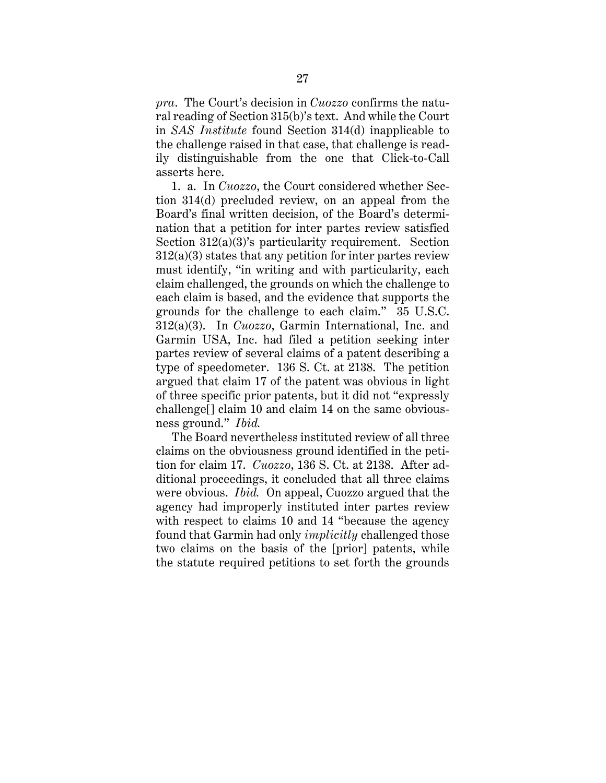*pra*. The Court's decision in *Cuozzo* confirms the natural reading of Section 315(b)'s text. And while the Court in *SAS Institute* found Section 314(d) inapplicable to the challenge raised in that case, that challenge is readily distinguishable from the one that Click-to-Call asserts here.

1. a. In *Cuozzo*, the Court considered whether Section 314(d) precluded review, on an appeal from the Board's final written decision, of the Board's determination that a petition for inter partes review satisfied Section 312(a)(3)'s particularity requirement. Section 312(a)(3) states that any petition for inter partes review must identify, "in writing and with particularity, each claim challenged, the grounds on which the challenge to each claim is based, and the evidence that supports the grounds for the challenge to each claim." 35 U.S.C. 312(a)(3). In *Cuozzo*, Garmin International, Inc. and Garmin USA, Inc. had filed a petition seeking inter partes review of several claims of a patent describing a type of speedometer. 136 S. Ct. at 2138. The petition argued that claim 17 of the patent was obvious in light of three specific prior patents, but it did not "expressly challenge[] claim 10 and claim 14 on the same obviousness ground." *Ibid.*

The Board nevertheless instituted review of all three claims on the obviousness ground identified in the petition for claim 17. *Cuozzo*, 136 S. Ct. at 2138. After additional proceedings, it concluded that all three claims were obvious. *Ibid.* On appeal, Cuozzo argued that the agency had improperly instituted inter partes review with respect to claims 10 and 14 "because the agency found that Garmin had only *implicitly* challenged those two claims on the basis of the [prior] patents, while the statute required petitions to set forth the grounds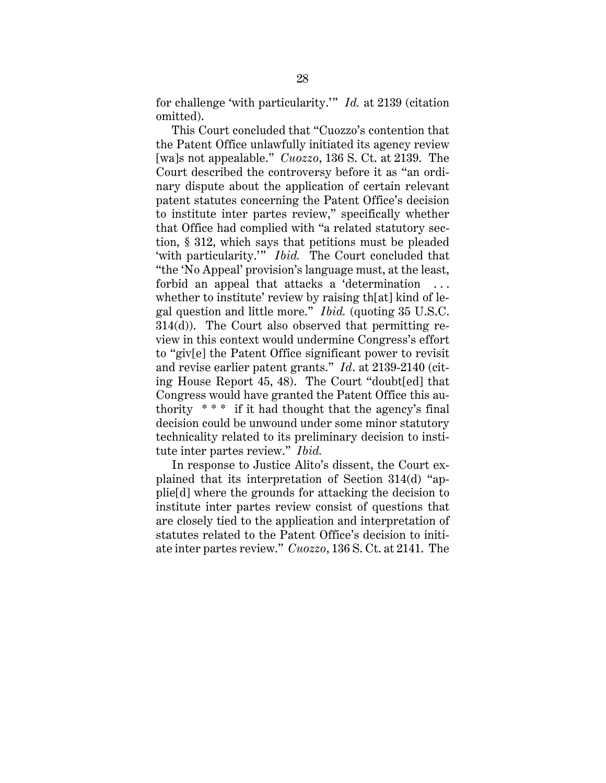for challenge 'with particularity.'" *Id.* at 2139 (citation omitted).

This Court concluded that "Cuozzo's contention that the Patent Office unlawfully initiated its agency review [wa]s not appealable." *Cuozzo*, 136 S. Ct. at 2139. The Court described the controversy before it as "an ordinary dispute about the application of certain relevant patent statutes concerning the Patent Office's decision to institute inter partes review," specifically whether that Office had complied with "a related statutory section, § 312, which says that petitions must be pleaded 'with particularity.'" *Ibid.* The Court concluded that "the 'No Appeal' provision's language must, at the least, forbid an appeal that attacks a 'determination . . . whether to institute' review by raising th[at] kind of legal question and little more." *Ibid.* (quoting 35 U.S.C. 314(d)). The Court also observed that permitting review in this context would undermine Congress's effort to "giv[e] the Patent Office significant power to revisit and revise earlier patent grants." *Id*. at 2139-2140 (citing House Report 45, 48). The Court "doubt[ed] that Congress would have granted the Patent Office this authority  $***$  if it had thought that the agency's final decision could be unwound under some minor statutory technicality related to its preliminary decision to institute inter partes review." *Ibid.*

In response to Justice Alito's dissent, the Court explained that its interpretation of Section 314(d) "applie[d] where the grounds for attacking the decision to institute inter partes review consist of questions that are closely tied to the application and interpretation of statutes related to the Patent Office's decision to initiate inter partes review." *Cuozzo*, 136 S. Ct. at 2141. The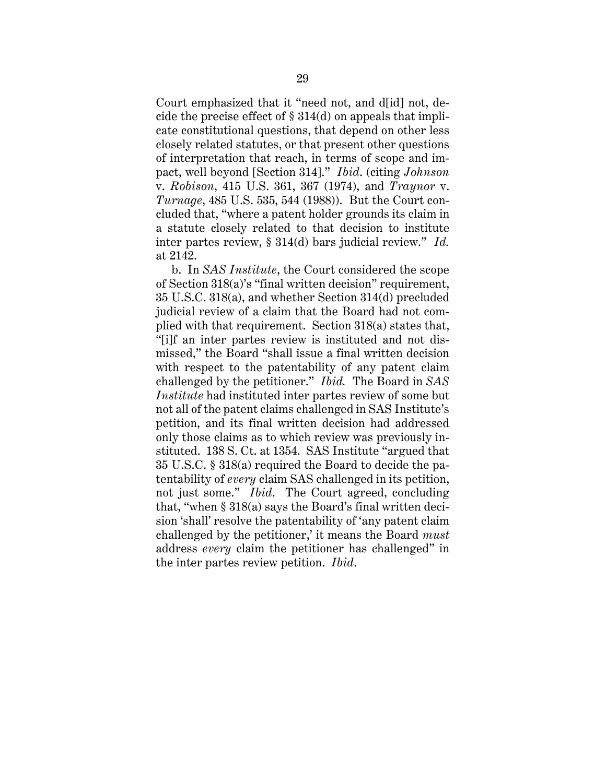Court emphasized that it "need not, and d[id] not, decide the precise effect of  $\S 314(d)$  on appeals that implicate constitutional questions, that depend on other less closely related statutes, or that present other questions of interpretation that reach, in terms of scope and impact, well beyond [Section 314]." *Ibid*. (citing *Johnson* v. *Robison*, 415 U.S. 361, 367 (1974), and *Traynor* v. *Turnage*, 485 U.S. 535, 544 (1988)). But the Court concluded that, "where a patent holder grounds its claim in a statute closely related to that decision to institute inter partes review, § 314(d) bars judicial review." *Id.* at 2142.

b. In *SAS Institute*, the Court considered the scope of Section 318(a)'s "final written decision" requirement, 35 U.S.C. 318(a), and whether Section 314(d) precluded judicial review of a claim that the Board had not complied with that requirement. Section 318(a) states that, "[i]f an inter partes review is instituted and not dismissed," the Board "shall issue a final written decision with respect to the patentability of any patent claim challenged by the petitioner." *Ibid.* The Board in *SAS Institute* had instituted inter partes review of some but not all of the patent claims challenged in SAS Institute's petition, and its final written decision had addressed only those claims as to which review was previously instituted. 138 S. Ct. at 1354. SAS Institute "argued that 35 U.S.C. § 318(a) required the Board to decide the patentability of *every* claim SAS challenged in its petition, not just some." *Ibid*. The Court agreed, concluding that, "when § 318(a) says the Board's final written decision 'shall' resolve the patentability of 'any patent claim challenged by the petitioner,' it means the Board *must* address *every* claim the petitioner has challenged" in the inter partes review petition. *Ibid*.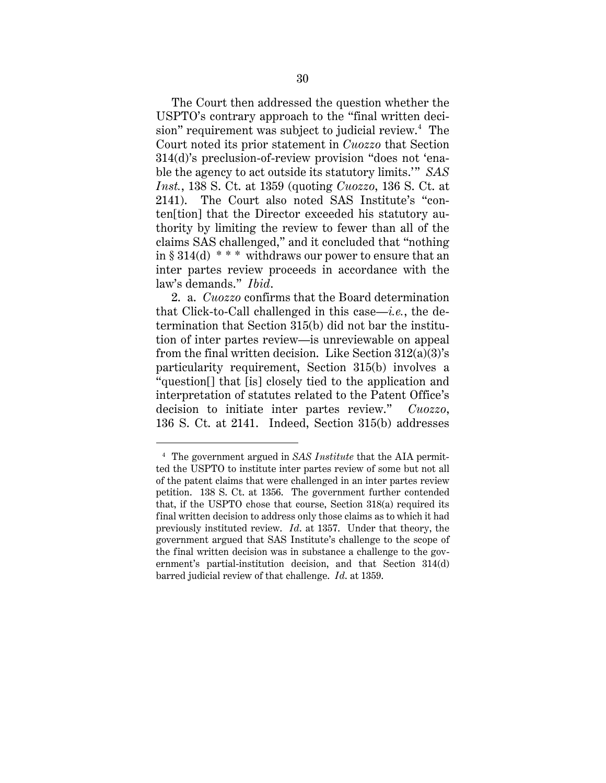The Court then addressed the question whether the USPTO's contrary approach to the "final written decision" requirement was subject to judicial review.4 The Court noted its prior statement in *Cuozzo* that Section 314(d)'s preclusion-of-review provision "does not 'enable the agency to act outside its statutory limits.'" *SAS Inst.*, 138 S. Ct. at 1359 (quoting *Cuozzo*, 136 S. Ct. at 2141). The Court also noted SAS Institute's "conten[tion] that the Director exceeded his statutory authority by limiting the review to fewer than all of the claims SAS challenged," and it concluded that "nothing in § 314(d)  $***$  withdraws our power to ensure that an inter partes review proceeds in accordance with the law's demands." *Ibid*.

2. a. *Cuozzo* confirms that the Board determination that Click-to-Call challenged in this case—*i.e.*, the determination that Section 315(b) did not bar the institution of inter partes review—is unreviewable on appeal from the final written decision. Like Section  $312(a)(3)$ 's particularity requirement, Section 315(b) involves a "question[] that [is] closely tied to the application and interpretation of statutes related to the Patent Office's decision to initiate inter partes review." *Cuozzo*, 136 S. Ct. at 2141. Indeed, Section 315(b) addresses

 $\overline{a}$ 

<sup>4</sup> The government argued in *SAS Institute* that the AIA permitted the USPTO to institute inter partes review of some but not all of the patent claims that were challenged in an inter partes review petition. 138 S. Ct. at 1356. The government further contended that, if the USPTO chose that course, Section 318(a) required its final written decision to address only those claims as to which it had previously instituted review. *Id*. at 1357. Under that theory, the government argued that SAS Institute's challenge to the scope of the final written decision was in substance a challenge to the government's partial-institution decision, and that Section 314(d) barred judicial review of that challenge. *Id*. at 1359.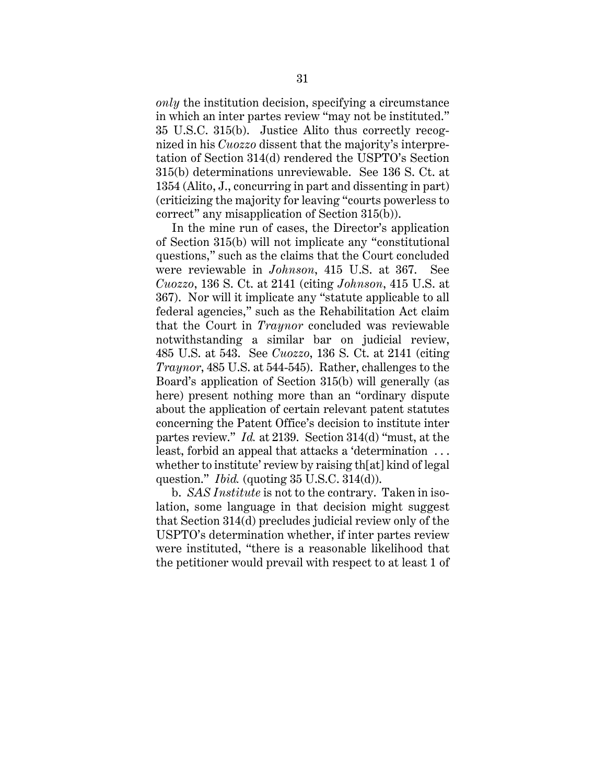*only* the institution decision, specifying a circumstance in which an inter partes review "may not be instituted." 35 U.S.C. 315(b). Justice Alito thus correctly recognized in his *Cuozzo* dissent that the majority's interpretation of Section 314(d) rendered the USPTO's Section 315(b) determinations unreviewable. See 136 S. Ct. at 1354 (Alito, J., concurring in part and dissenting in part) (criticizing the majority for leaving "courts powerless to correct" any misapplication of Section 315(b)).

In the mine run of cases, the Director's application of Section 315(b) will not implicate any "constitutional questions," such as the claims that the Court concluded were reviewable in *Johnson*, 415 U.S. at 367. See *Cuozzo*, 136 S. Ct. at 2141 (citing *Johnson*, 415 U.S. at 367). Nor will it implicate any "statute applicable to all federal agencies," such as the Rehabilitation Act claim that the Court in *Traynor* concluded was reviewable notwithstanding a similar bar on judicial review, 485 U.S. at 543. See *Cuozzo*, 136 S. Ct. at 2141 (citing *Traynor*, 485 U.S. at 544-545). Rather, challenges to the Board's application of Section 315(b) will generally (as here) present nothing more than an "ordinary dispute about the application of certain relevant patent statutes concerning the Patent Office's decision to institute inter partes review." *Id.* at 2139. Section 314(d) "must, at the least, forbid an appeal that attacks a 'determination . . . whether to institute' review by raising th[at] kind of legal question." *Ibid.* (quoting 35 U.S.C. 314(d)).

b. *SAS Institute* is not to the contrary. Taken in isolation, some language in that decision might suggest that Section 314(d) precludes judicial review only of the USPTO's determination whether, if inter partes review were instituted, "there is a reasonable likelihood that the petitioner would prevail with respect to at least 1 of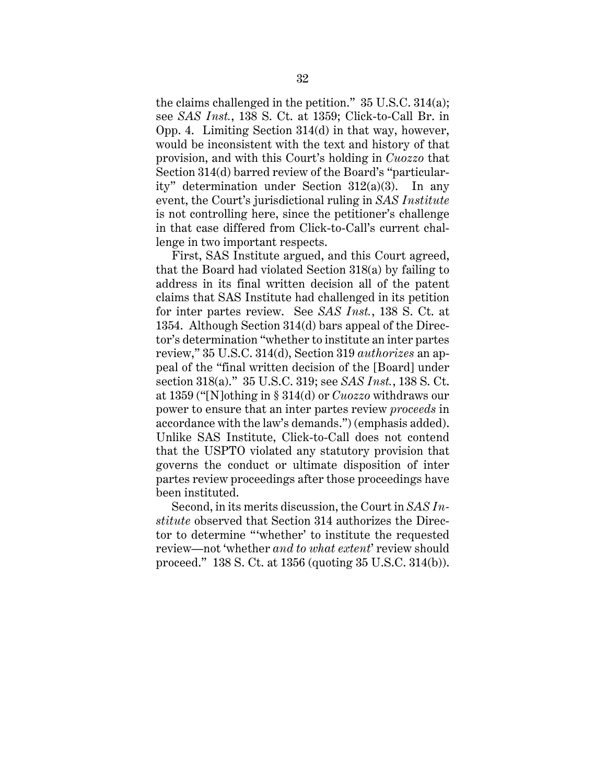the claims challenged in the petition." 35 U.S.C. 314(a); see *SAS Inst.*, 138 S. Ct. at 1359; Click-to-Call Br. in Opp. 4. Limiting Section 314(d) in that way, however, would be inconsistent with the text and history of that provision, and with this Court's holding in *Cuozzo* that Section 314(d) barred review of the Board's "particularity" determination under Section 312(a)(3). In any event, the Court's jurisdictional ruling in *SAS Institute* is not controlling here, since the petitioner's challenge in that case differed from Click-to-Call's current challenge in two important respects.

First, SAS Institute argued, and this Court agreed, that the Board had violated Section 318(a) by failing to address in its final written decision all of the patent claims that SAS Institute had challenged in its petition for inter partes review. See *SAS Inst.*, 138 S. Ct. at 1354. Although Section 314(d) bars appeal of the Director's determination "whether to institute an inter partes review," 35 U.S.C. 314(d), Section 319 *authorizes* an appeal of the "final written decision of the [Board] under section 318(a)." 35 U.S.C. 319; see *SAS Inst.*, 138 S. Ct. at 1359 ("[N]othing in § 314(d) or *Cuozzo* withdraws our power to ensure that an inter partes review *proceeds* in accordance with the law's demands.") (emphasis added). Unlike SAS Institute, Click-to-Call does not contend that the USPTO violated any statutory provision that governs the conduct or ultimate disposition of inter partes review proceedings after those proceedings have been instituted.

Second, in its merits discussion, the Court in *SAS Institute* observed that Section 314 authorizes the Director to determine "'whether' to institute the requested review—not 'whether *and to what extent*' review should proceed." 138 S. Ct. at 1356 (quoting 35 U.S.C. 314(b)).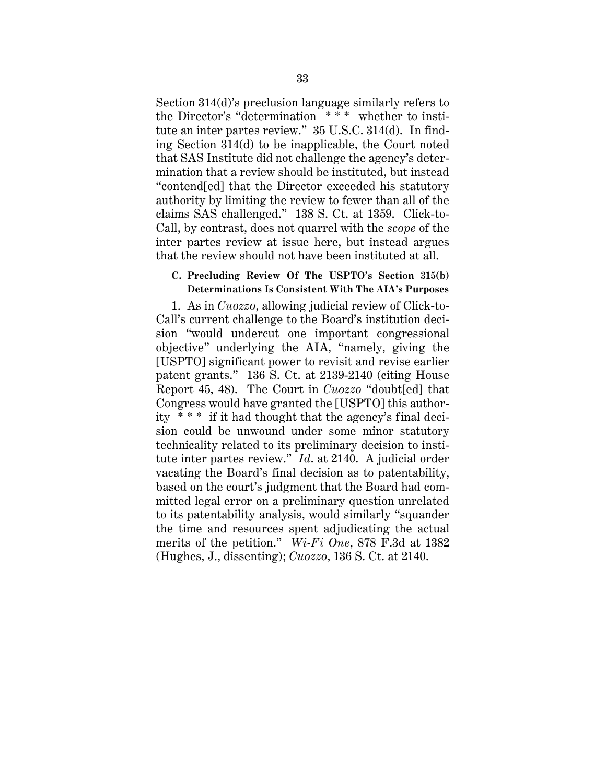Section 314(d)'s preclusion language similarly refers to the Director's "determination \* \* \* whether to institute an inter partes review." 35 U.S.C. 314(d). In finding Section 314(d) to be inapplicable, the Court noted that SAS Institute did not challenge the agency's determination that a review should be instituted, but instead "contend[ed] that the Director exceeded his statutory authority by limiting the review to fewer than all of the claims SAS challenged." 138 S. Ct. at 1359. Click-to-Call, by contrast, does not quarrel with the *scope* of the inter partes review at issue here, but instead argues that the review should not have been instituted at all.

## **C. Precluding Review Of The USPTO's Section 315(b) Determinations Is Consistent With The AIA's Purposes**

1. As in *Cuozzo*, allowing judicial review of Click-to-Call's current challenge to the Board's institution decision "would undercut one important congressional objective" underlying the AIA, "namely, giving the [USPTO] significant power to revisit and revise earlier patent grants." 136 S. Ct. at 2139-2140 (citing House Report 45, 48). The Court in *Cuozzo* "doubt[ed] that Congress would have granted the [USPTO] this authority \* \* \* if it had thought that the agency's final decision could be unwound under some minor statutory technicality related to its preliminary decision to institute inter partes review." *Id*. at 2140. A judicial order vacating the Board's final decision as to patentability, based on the court's judgment that the Board had committed legal error on a preliminary question unrelated to its patentability analysis, would similarly "squander the time and resources spent adjudicating the actual merits of the petition." *Wi-Fi One*, 878 F.3d at 1382 (Hughes, J., dissenting); *Cuozzo*, 136 S. Ct. at 2140.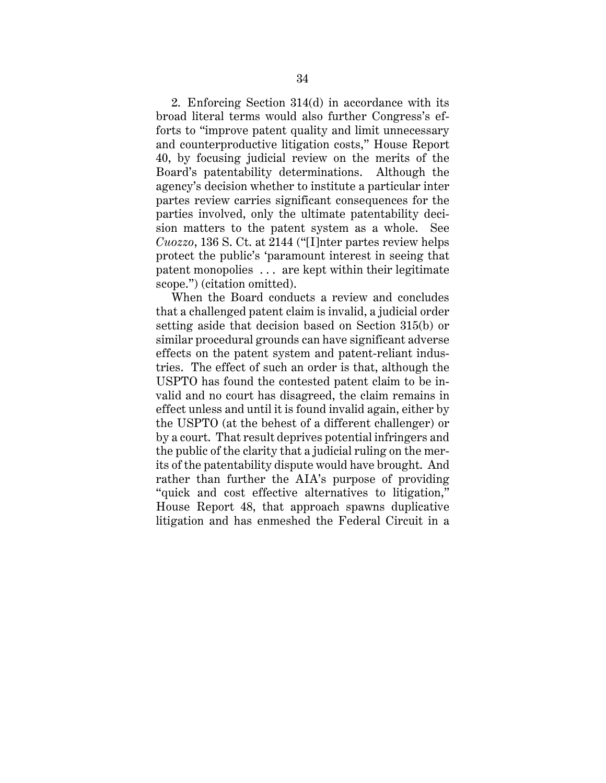2. Enforcing Section 314(d) in accordance with its broad literal terms would also further Congress's efforts to "improve patent quality and limit unnecessary and counterproductive litigation costs," House Report 40, by focusing judicial review on the merits of the Board's patentability determinations. Although the agency's decision whether to institute a particular inter partes review carries significant consequences for the parties involved, only the ultimate patentability decision matters to the patent system as a whole. See *Cuozzo*, 136 S. Ct. at 2144 ("[I]nter partes review helps protect the public's 'paramount interest in seeing that patent monopolies . . . are kept within their legitimate scope.") (citation omitted).

When the Board conducts a review and concludes that a challenged patent claim is invalid, a judicial order setting aside that decision based on Section 315(b) or similar procedural grounds can have significant adverse effects on the patent system and patent-reliant industries. The effect of such an order is that, although the USPTO has found the contested patent claim to be invalid and no court has disagreed, the claim remains in effect unless and until it is found invalid again, either by the USPTO (at the behest of a different challenger) or by a court. That result deprives potential infringers and the public of the clarity that a judicial ruling on the merits of the patentability dispute would have brought. And rather than further the AIA's purpose of providing "quick and cost effective alternatives to litigation," House Report 48, that approach spawns duplicative litigation and has enmeshed the Federal Circuit in a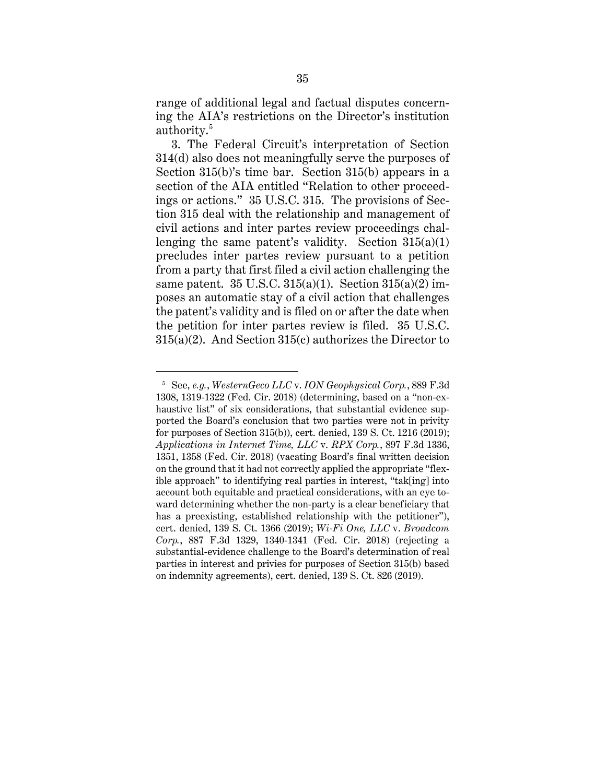range of additional legal and factual disputes concerning the AIA's restrictions on the Director's institution authority. $^5\,$ 

3. The Federal Circuit's interpretation of Section 314(d) also does not meaningfully serve the purposes of Section 315(b)'s time bar. Section 315(b) appears in a section of the AIA entitled "Relation to other proceedings or actions." 35 U.S.C. 315. The provisions of Section 315 deal with the relationship and management of civil actions and inter partes review proceedings challenging the same patent's validity. Section  $315(a)(1)$ precludes inter partes review pursuant to a petition from a party that first filed a civil action challenging the same patent. 35 U.S.C.  $315(a)(1)$ . Section  $315(a)(2)$  imposes an automatic stay of a civil action that challenges the patent's validity and is filed on or after the date when the petition for inter partes review is filed. 35 U.S.C. 315(a)(2). And Section 315(c) authorizes the Director to

 $\overline{a}$ 

<sup>5</sup> See, *e.g.*, *WesternGeco LLC* v. *ION Geophysical Corp.*, 889 F.3d 1308, 1319-1322 (Fed. Cir. 2018) (determining, based on a "non-exhaustive list" of six considerations, that substantial evidence supported the Board's conclusion that two parties were not in privity for purposes of Section 315(b)), cert. denied, 139 S. Ct. 1216 (2019); *Applications in Internet Time, LLC* v. *RPX Corp.*, 897 F.3d 1336, 1351, 1358 (Fed. Cir. 2018) (vacating Board's final written decision on the ground that it had not correctly applied the appropriate "flexible approach" to identifying real parties in interest, "tak[ing] into account both equitable and practical considerations, with an eye toward determining whether the non-party is a clear beneficiary that has a preexisting, established relationship with the petitioner"), cert. denied, 139 S. Ct. 1366 (2019); *Wi-Fi One, LLC* v. *Broadcom Corp.*, 887 F.3d 1329, 1340-1341 (Fed. Cir. 2018) (rejecting a substantial-evidence challenge to the Board's determination of real parties in interest and privies for purposes of Section 315(b) based on indemnity agreements), cert. denied, 139 S. Ct. 826 (2019).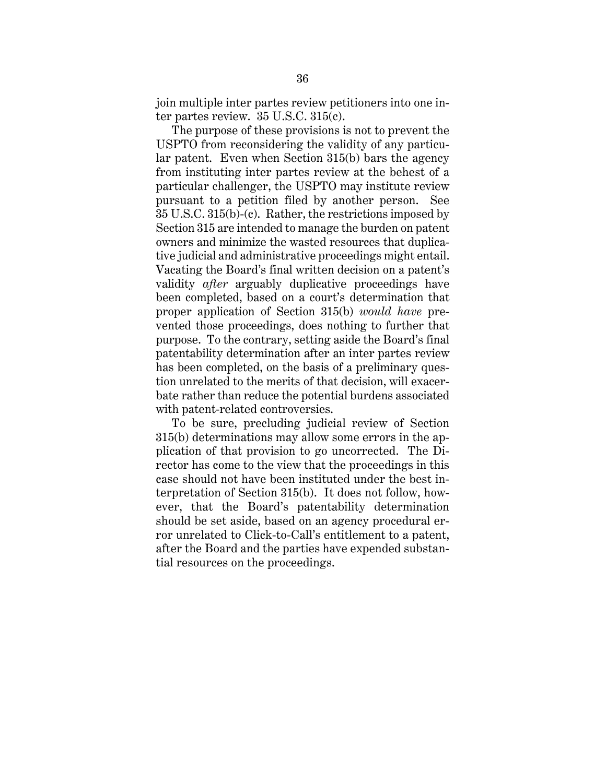join multiple inter partes review petitioners into one inter partes review. 35 U.S.C. 315(c).

The purpose of these provisions is not to prevent the USPTO from reconsidering the validity of any particular patent. Even when Section 315(b) bars the agency from instituting inter partes review at the behest of a particular challenger, the USPTO may institute review pursuant to a petition filed by another person. See 35 U.S.C. 315(b)-(c). Rather, the restrictions imposed by Section 315 are intended to manage the burden on patent owners and minimize the wasted resources that duplicative judicial and administrative proceedings might entail. Vacating the Board's final written decision on a patent's validity *after* arguably duplicative proceedings have been completed, based on a court's determination that proper application of Section 315(b) *would have* prevented those proceedings, does nothing to further that purpose. To the contrary, setting aside the Board's final patentability determination after an inter partes review has been completed, on the basis of a preliminary question unrelated to the merits of that decision, will exacerbate rather than reduce the potential burdens associated with patent-related controversies.

To be sure, precluding judicial review of Section 315(b) determinations may allow some errors in the application of that provision to go uncorrected. The Director has come to the view that the proceedings in this case should not have been instituted under the best interpretation of Section 315(b). It does not follow, however, that the Board's patentability determination should be set aside, based on an agency procedural error unrelated to Click-to-Call's entitlement to a patent, after the Board and the parties have expended substantial resources on the proceedings.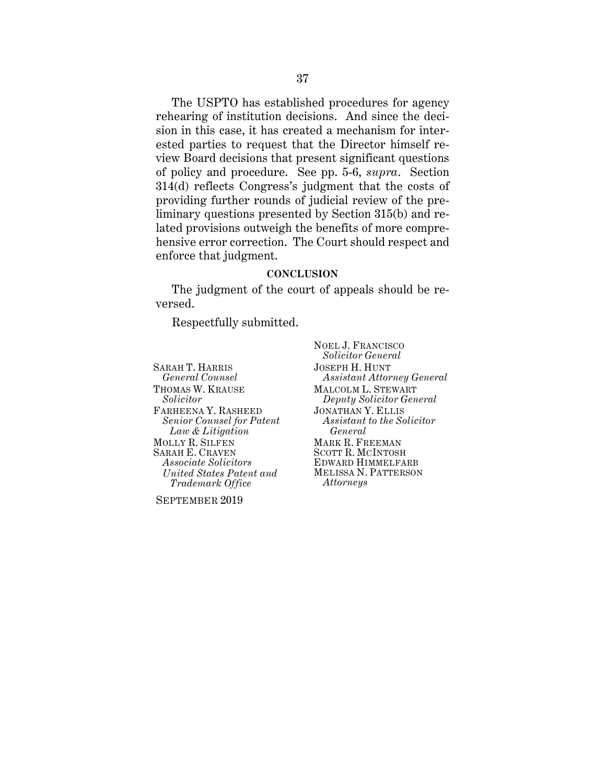The USPTO has established procedures for agency rehearing of institution decisions. And since the decision in this case, it has created a mechanism for interested parties to request that the Director himself review Board decisions that present significant questions of policy and procedure. See pp. 5-6, *supra*. Section 314(d) reflects Congress's judgment that the costs of providing further rounds of judicial review of the preliminary questions presented by Section 315(b) and related provisions outweigh the benefits of more comprehensive error correction. The Court should respect and enforce that judgment.

#### **CONCLUSION**

The judgment of the court of appeals should be reversed.

Respectfully submitted.

SARAH T. HARRIS *General Counsel* THOMAS W. KRAUSE *Solicitor* FARHEENA Y. RASHEED *Senior Counsel for Patent Law & Litigation* MOLLY R. SILFEN SARAH E. CRAVEN *Associate Solicitors United States Patent and Trademark Office* 

SEPTEMBER 2019

NOEL J. FRANCISCO *Solicitor General* JOSEPH H. HUNT *Assistant Attorney General* MALCOLM L. STEWART *Deputy Solicitor General* JONATHAN Y. ELLIS *Assistant to the Solicitor General* MARK R. FREEMAN SCOTT R. MCINTOSH EDWARD HIMMELFARB MELISSA N. PATTERSON *Attorneys*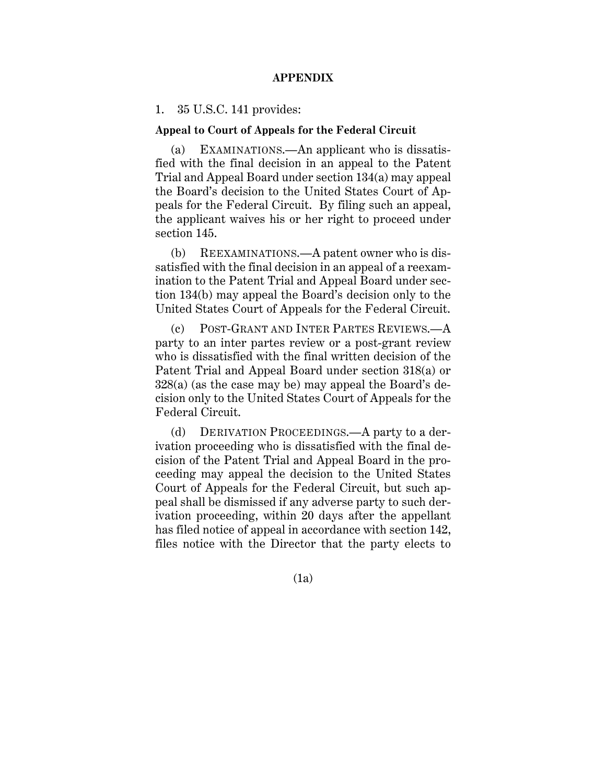#### **APPENDIX**

#### 1. 35 U.S.C. 141 provides:

#### **Appeal to Court of Appeals for the Federal Circuit**

 (a) EXAMINATIONS.—An applicant who is dissatisfied with the final decision in an appeal to the Patent Trial and Appeal Board under section 134(a) may appeal the Board's decision to the United States Court of Appeals for the Federal Circuit. By filing such an appeal, the applicant waives his or her right to proceed under section 145.

(b) REEXAMINATIONS.—A patent owner who is dissatisfied with the final decision in an appeal of a reexamination to the Patent Trial and Appeal Board under section 134(b) may appeal the Board's decision only to the United States Court of Appeals for the Federal Circuit.

(c) POST-GRANT AND INTER PARTES REVIEWS.—A party to an inter partes review or a post-grant review who is dissatisfied with the final written decision of the Patent Trial and Appeal Board under section 318(a) or 328(a) (as the case may be) may appeal the Board's decision only to the United States Court of Appeals for the Federal Circuit.

(d) DERIVATION PROCEEDINGS.—A party to a derivation proceeding who is dissatisfied with the final decision of the Patent Trial and Appeal Board in the proceeding may appeal the decision to the United States Court of Appeals for the Federal Circuit, but such appeal shall be dismissed if any adverse party to such derivation proceeding, within 20 days after the appellant has filed notice of appeal in accordance with section 142, files notice with the Director that the party elects to

(1a)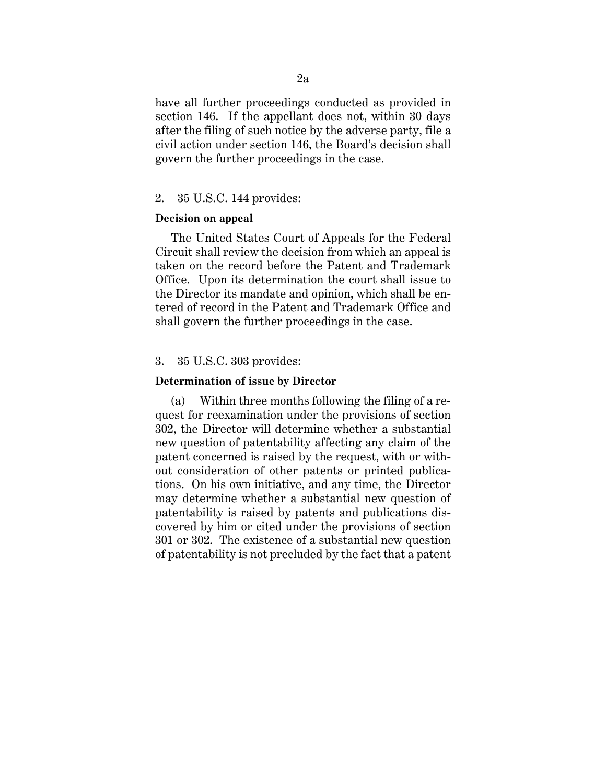have all further proceedings conducted as provided in section 146. If the appellant does not, within 30 days after the filing of such notice by the adverse party, file a civil action under section 146, the Board's decision shall govern the further proceedings in the case.

### 2. 35 U.S.C. 144 provides:

## **Decision on appeal**

The United States Court of Appeals for the Federal Circuit shall review the decision from which an appeal is taken on the record before the Patent and Trademark Office. Upon its determination the court shall issue to the Director its mandate and opinion, which shall be entered of record in the Patent and Trademark Office and shall govern the further proceedings in the case.

#### 3. 35 U.S.C. 303 provides:

#### **Determination of issue by Director**

 (a) Within three months following the filing of a request for reexamination under the provisions of section 302, the Director will determine whether a substantial new question of patentability affecting any claim of the patent concerned is raised by the request, with or without consideration of other patents or printed publications. On his own initiative, and any time, the Director may determine whether a substantial new question of patentability is raised by patents and publications discovered by him or cited under the provisions of section 301 or 302. The existence of a substantial new question of patentability is not precluded by the fact that a patent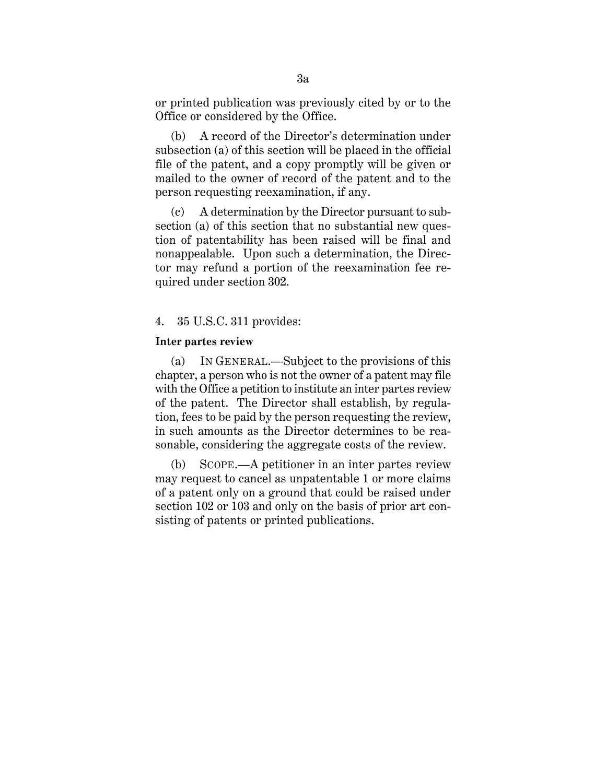or printed publication was previously cited by or to the Office or considered by the Office.

(b) A record of the Director's determination under subsection (a) of this section will be placed in the official file of the patent, and a copy promptly will be given or mailed to the owner of record of the patent and to the person requesting reexamination, if any.

(c) A determination by the Director pursuant to subsection (a) of this section that no substantial new question of patentability has been raised will be final and nonappealable. Upon such a determination, the Director may refund a portion of the reexamination fee required under section 302.

#### 4. 35 U.S.C. 311 provides:

### **Inter partes review**

(a) IN GENERAL.—Subject to the provisions of this chapter, a person who is not the owner of a patent may file with the Office a petition to institute an inter partes review of the patent. The Director shall establish, by regulation, fees to be paid by the person requesting the review, in such amounts as the Director determines to be reasonable, considering the aggregate costs of the review.

(b) SCOPE.—A petitioner in an inter partes review may request to cancel as unpatentable 1 or more claims of a patent only on a ground that could be raised under section 102 or 103 and only on the basis of prior art consisting of patents or printed publications.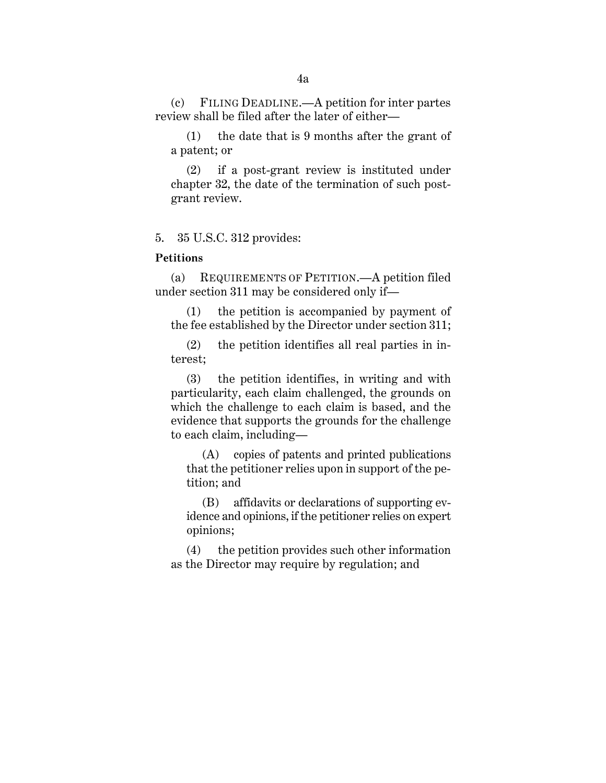(c) FILING DEADLINE.—A petition for inter partes review shall be filed after the later of either—

(1) the date that is 9 months after the grant of a patent; or

(2) if a post-grant review is instituted under chapter 32, the date of the termination of such postgrant review.

### 5. 35 U.S.C. 312 provides:

### **Petitions**

(a) REQUIREMENTS OF PETITION.—A petition filed under section 311 may be considered only if—

(1) the petition is accompanied by payment of the fee established by the Director under section 311;

(2) the petition identifies all real parties in interest;

(3) the petition identifies, in writing and with particularity, each claim challenged, the grounds on which the challenge to each claim is based, and the evidence that supports the grounds for the challenge to each claim, including—

 (A) copies of patents and printed publications that the petitioner relies upon in support of the petition; and

 (B) affidavits or declarations of supporting evidence and opinions, if the petitioner relies on expert opinions;

(4) the petition provides such other information as the Director may require by regulation; and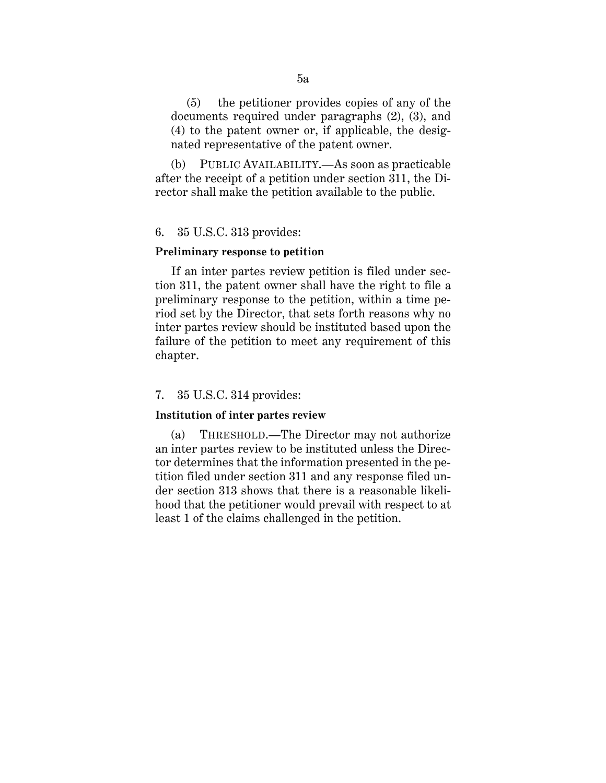(5) the petitioner provides copies of any of the documents required under paragraphs (2), (3), and (4) to the patent owner or, if applicable, the designated representative of the patent owner.

(b) PUBLIC AVAILABILITY.—As soon as practicable after the receipt of a petition under section 311, the Director shall make the petition available to the public.

#### 6. 35 U.S.C. 313 provides:

#### **Preliminary response to petition**

If an inter partes review petition is filed under section 311, the patent owner shall have the right to file a preliminary response to the petition, within a time period set by the Director, that sets forth reasons why no inter partes review should be instituted based upon the failure of the petition to meet any requirement of this chapter.

#### 7. 35 U.S.C. 314 provides:

#### **Institution of inter partes review**

(a) THRESHOLD.—The Director may not authorize an inter partes review to be instituted unless the Director determines that the information presented in the petition filed under section 311 and any response filed under section 313 shows that there is a reasonable likelihood that the petitioner would prevail with respect to at least 1 of the claims challenged in the petition.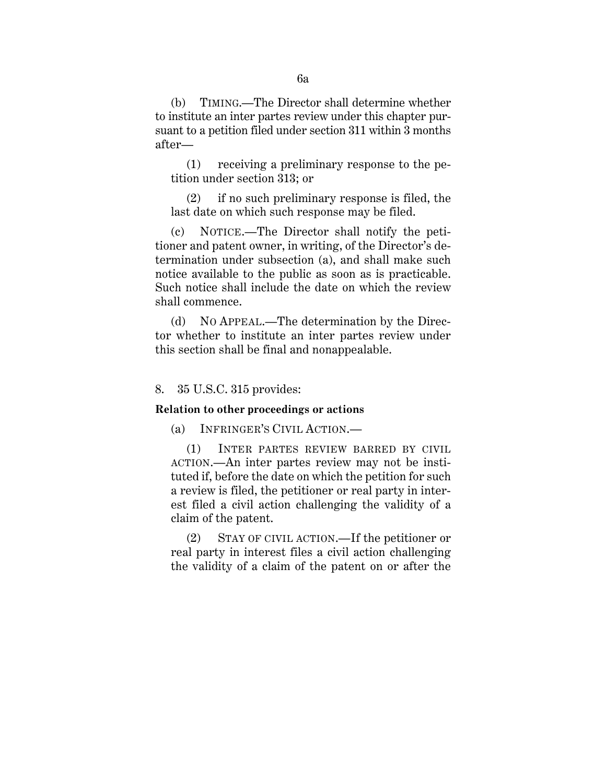(b) TIMING.—The Director shall determine whether to institute an inter partes review under this chapter pursuant to a petition filed under section 311 within 3 months after—

(1) receiving a preliminary response to the petition under section 313; or

(2) if no such preliminary response is filed, the last date on which such response may be filed.

(c) NOTICE.—The Director shall notify the petitioner and patent owner, in writing, of the Director's determination under subsection (a), and shall make such notice available to the public as soon as is practicable. Such notice shall include the date on which the review shall commence.

(d) NO APPEAL.—The determination by the Director whether to institute an inter partes review under this section shall be final and nonappealable.

#### 8. 35 U.S.C. 315 provides:

#### **Relation to other proceedings or actions**

(a) INFRINGER'S CIVIL ACTION.—

(1) INTER PARTES REVIEW BARRED BY CIVIL ACTION.—An inter partes review may not be instituted if, before the date on which the petition for such a review is filed, the petitioner or real party in interest filed a civil action challenging the validity of a claim of the patent.

(2) STAY OF CIVIL ACTION.—If the petitioner or real party in interest files a civil action challenging the validity of a claim of the patent on or after the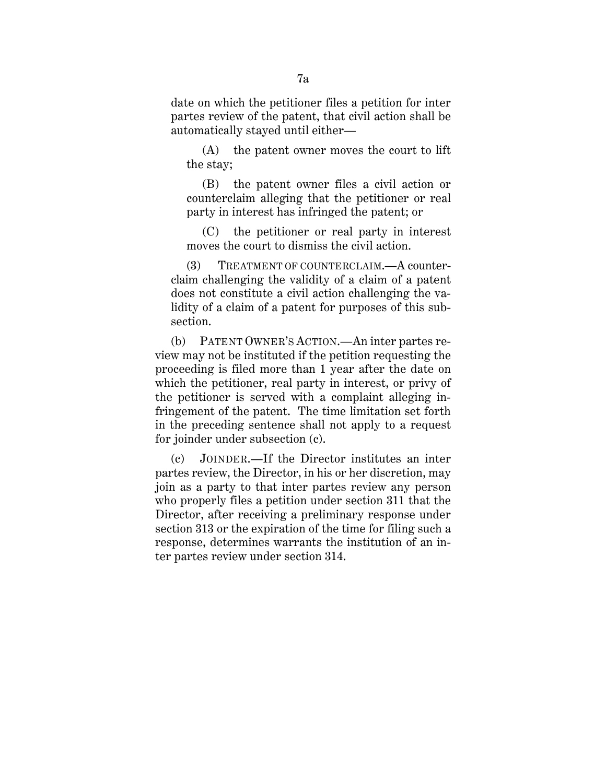date on which the petitioner files a petition for inter partes review of the patent, that civil action shall be automatically stayed until either—

(A) the patent owner moves the court to lift the stay;

(B) the patent owner files a civil action or counterclaim alleging that the petitioner or real party in interest has infringed the patent; or

(C) the petitioner or real party in interest moves the court to dismiss the civil action.

(3) TREATMENT OF COUNTERCLAIM.—A counterclaim challenging the validity of a claim of a patent does not constitute a civil action challenging the validity of a claim of a patent for purposes of this subsection.

(b) PATENT OWNER'S ACTION.—An inter partes review may not be instituted if the petition requesting the proceeding is filed more than 1 year after the date on which the petitioner, real party in interest, or privy of the petitioner is served with a complaint alleging infringement of the patent. The time limitation set forth in the preceding sentence shall not apply to a request for joinder under subsection (c).

(c) JOINDER.—If the Director institutes an inter partes review, the Director, in his or her discretion, may join as a party to that inter partes review any person who properly files a petition under section 311 that the Director, after receiving a preliminary response under section 313 or the expiration of the time for filing such a response, determines warrants the institution of an inter partes review under section 314.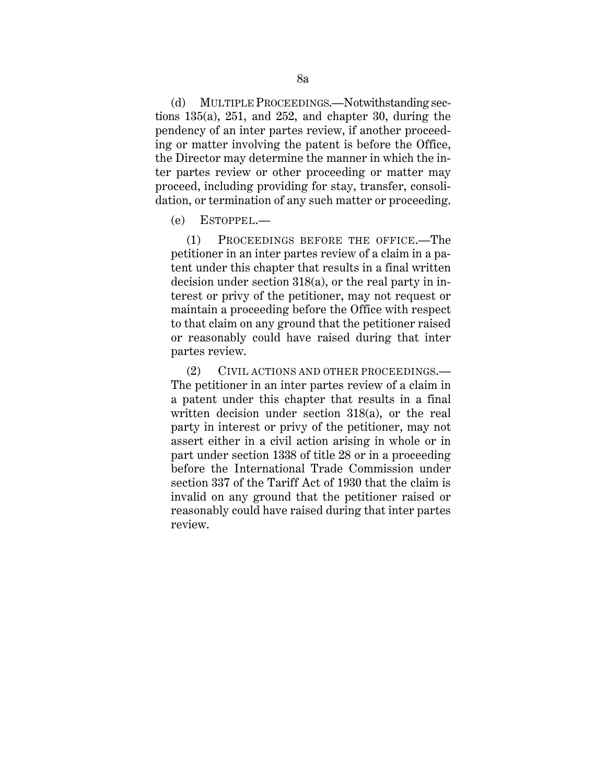(d) MULTIPLE PROCEEDINGS.—Notwithstanding sections 135(a), 251, and 252, and chapter 30, during the pendency of an inter partes review, if another proceeding or matter involving the patent is before the Office, the Director may determine the manner in which the inter partes review or other proceeding or matter may proceed, including providing for stay, transfer, consolidation, or termination of any such matter or proceeding.

(e) ESTOPPEL.—

(1) PROCEEDINGS BEFORE THE OFFICE.—The petitioner in an inter partes review of a claim in a patent under this chapter that results in a final written decision under section 318(a), or the real party in interest or privy of the petitioner, may not request or maintain a proceeding before the Office with respect to that claim on any ground that the petitioner raised or reasonably could have raised during that inter partes review.

(2) CIVIL ACTIONS AND OTHER PROCEEDINGS.— The petitioner in an inter partes review of a claim in a patent under this chapter that results in a final written decision under section 318(a), or the real party in interest or privy of the petitioner, may not assert either in a civil action arising in whole or in part under section 1338 of title 28 or in a proceeding before the International Trade Commission under section 337 of the Tariff Act of 1930 that the claim is invalid on any ground that the petitioner raised or reasonably could have raised during that inter partes review.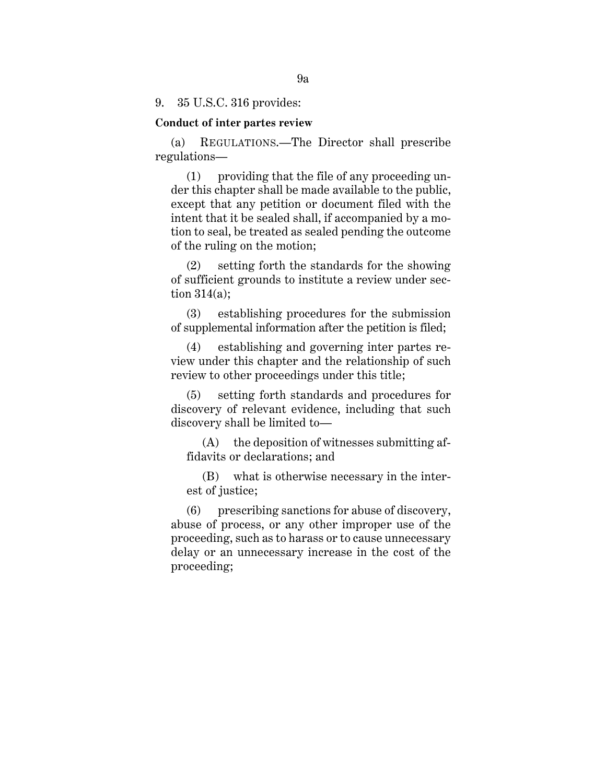9. 35 U.S.C. 316 provides:

#### **Conduct of inter partes review**

(a) REGULATIONS.—The Director shall prescribe regulations—

(1) providing that the file of any proceeding under this chapter shall be made available to the public, except that any petition or document filed with the intent that it be sealed shall, if accompanied by a motion to seal, be treated as sealed pending the outcome of the ruling on the motion;

(2) setting forth the standards for the showing of sufficient grounds to institute a review under section 314(a);

(3) establishing procedures for the submission of supplemental information after the petition is filed;

(4) establishing and governing inter partes review under this chapter and the relationship of such review to other proceedings under this title;

(5) setting forth standards and procedures for discovery of relevant evidence, including that such discovery shall be limited to—

 (A) the deposition of witnesses submitting affidavits or declarations; and

 (B) what is otherwise necessary in the interest of justice;

(6) prescribing sanctions for abuse of discovery, abuse of process, or any other improper use of the proceeding, such as to harass or to cause unnecessary delay or an unnecessary increase in the cost of the proceeding;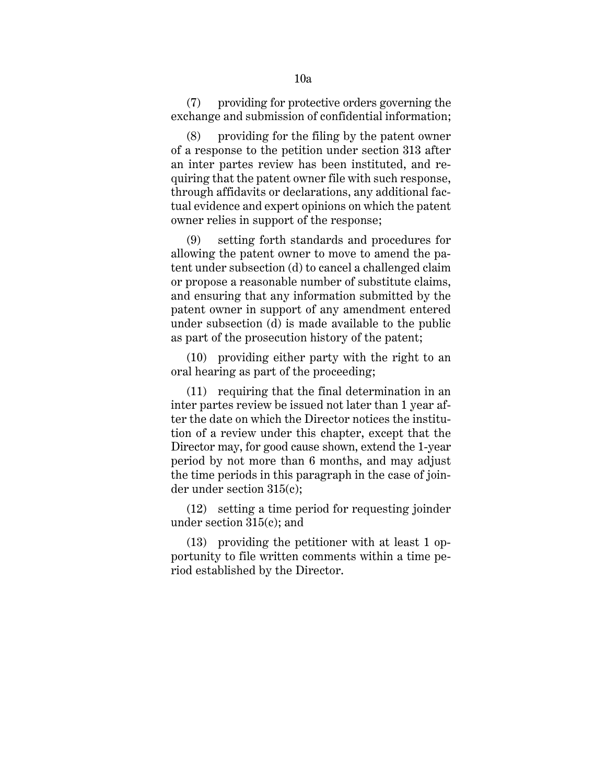(7) providing for protective orders governing the exchange and submission of confidential information;

(8) providing for the filing by the patent owner of a response to the petition under section 313 after an inter partes review has been instituted, and requiring that the patent owner file with such response, through affidavits or declarations, any additional factual evidence and expert opinions on which the patent owner relies in support of the response;

(9) setting forth standards and procedures for allowing the patent owner to move to amend the patent under subsection (d) to cancel a challenged claim or propose a reasonable number of substitute claims, and ensuring that any information submitted by the patent owner in support of any amendment entered under subsection (d) is made available to the public as part of the prosecution history of the patent;

(10) providing either party with the right to an oral hearing as part of the proceeding;

(11) requiring that the final determination in an inter partes review be issued not later than 1 year after the date on which the Director notices the institution of a review under this chapter, except that the Director may, for good cause shown, extend the 1-year period by not more than 6 months, and may adjust the time periods in this paragraph in the case of joinder under section 315(c);

(12) setting a time period for requesting joinder under section 315(c); and

(13) providing the petitioner with at least 1 opportunity to file written comments within a time period established by the Director.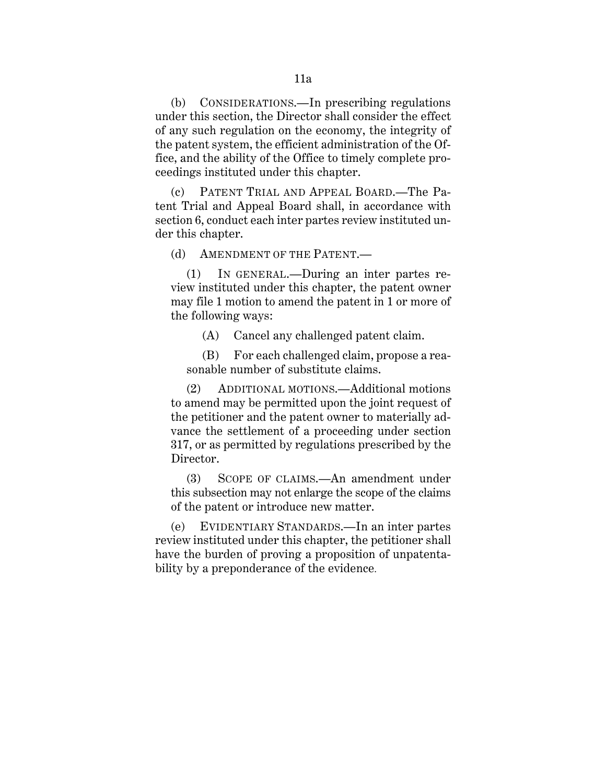(b) CONSIDERATIONS.—In prescribing regulations under this section, the Director shall consider the effect of any such regulation on the economy, the integrity of the patent system, the efficient administration of the Office, and the ability of the Office to timely complete proceedings instituted under this chapter.

(c) PATENT TRIAL AND APPEAL BOARD.—The Patent Trial and Appeal Board shall, in accordance with section 6, conduct each inter partes review instituted under this chapter.

(d) AMENDMENT OF THE PATENT.—

(1) IN GENERAL.—During an inter partes review instituted under this chapter, the patent owner may file 1 motion to amend the patent in 1 or more of the following ways:

(A) Cancel any challenged patent claim.

(B) For each challenged claim, propose a reasonable number of substitute claims.

(2) ADDITIONAL MOTIONS.—Additional motions to amend may be permitted upon the joint request of the petitioner and the patent owner to materially advance the settlement of a proceeding under section 317, or as permitted by regulations prescribed by the Director.

(3) SCOPE OF CLAIMS.—An amendment under this subsection may not enlarge the scope of the claims of the patent or introduce new matter.

(e) EVIDENTIARY STANDARDS.—In an inter partes review instituted under this chapter, the petitioner shall have the burden of proving a proposition of unpatentability by a preponderance of the evidence.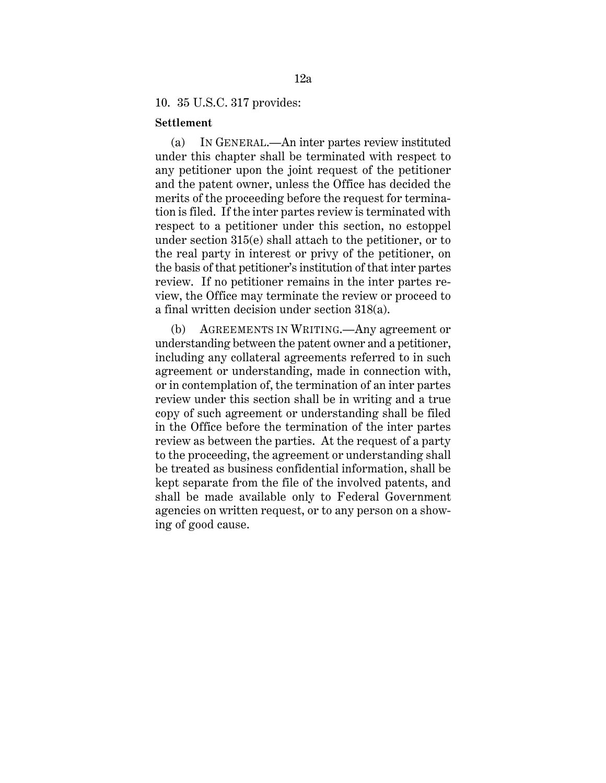#### 10. 35 U.S.C. 317 provides:

#### **Settlement**

(a) IN GENERAL.—An inter partes review instituted under this chapter shall be terminated with respect to any petitioner upon the joint request of the petitioner and the patent owner, unless the Office has decided the merits of the proceeding before the request for termination is filed. If the inter partes review is terminated with respect to a petitioner under this section, no estoppel under section 315(e) shall attach to the petitioner, or to the real party in interest or privy of the petitioner, on the basis of that petitioner's institution of that inter partes review. If no petitioner remains in the inter partes review, the Office may terminate the review or proceed to a final written decision under section 318(a).

(b) AGREEMENTS IN WRITING.—Any agreement or understanding between the patent owner and a petitioner, including any collateral agreements referred to in such agreement or understanding, made in connection with, or in contemplation of, the termination of an inter partes review under this section shall be in writing and a true copy of such agreement or understanding shall be filed in the Office before the termination of the inter partes review as between the parties. At the request of a party to the proceeding, the agreement or understanding shall be treated as business confidential information, shall be kept separate from the file of the involved patents, and shall be made available only to Federal Government agencies on written request, or to any person on a showing of good cause.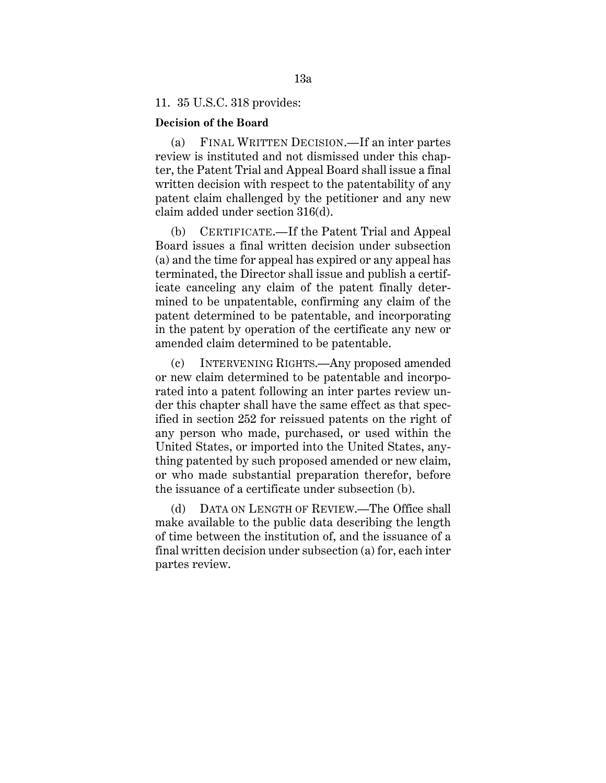#### 11. 35 U.S.C. 318 provides:

#### **Decision of the Board**

 (a) FINAL WRITTEN DECISION.—If an inter partes review is instituted and not dismissed under this chapter, the Patent Trial and Appeal Board shall issue a final written decision with respect to the patentability of any patent claim challenged by the petitioner and any new claim added under section 316(d).

(b) CERTIFICATE.—If the Patent Trial and Appeal Board issues a final written decision under subsection (a) and the time for appeal has expired or any appeal has terminated, the Director shall issue and publish a certificate canceling any claim of the patent finally determined to be unpatentable, confirming any claim of the patent determined to be patentable, and incorporating in the patent by operation of the certificate any new or amended claim determined to be patentable.

(c) INTERVENING RIGHTS.—Any proposed amended or new claim determined to be patentable and incorporated into a patent following an inter partes review under this chapter shall have the same effect as that specified in section 252 for reissued patents on the right of any person who made, purchased, or used within the United States, or imported into the United States, anything patented by such proposed amended or new claim, or who made substantial preparation therefor, before the issuance of a certificate under subsection (b).

(d) DATA ON LENGTH OF REVIEW.—The Office shall make available to the public data describing the length of time between the institution of, and the issuance of a final written decision under subsection (a) for, each inter partes review.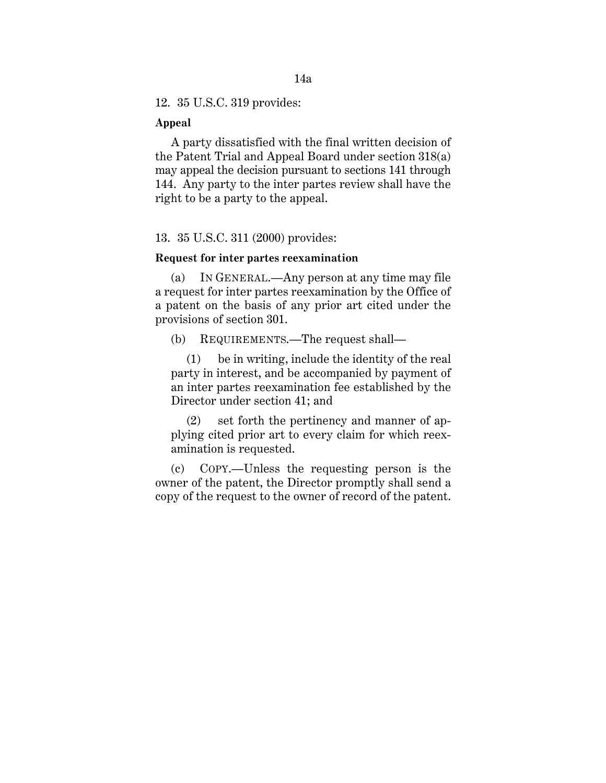#### 12. 35 U.S.C. 319 provides:

#### **Appeal**

A party dissatisfied with the final written decision of the Patent Trial and Appeal Board under section 318(a) may appeal the decision pursuant to sections 141 through 144. Any party to the inter partes review shall have the right to be a party to the appeal.

#### 13. 35 U.S.C. 311 (2000) provides:

#### **Request for inter partes reexamination**

(a) IN GENERAL.—Any person at any time may file a request for inter partes reexamination by the Office of a patent on the basis of any prior art cited under the provisions of section 301.

(b) REQUIREMENTS.—The request shall—

(1) be in writing, include the identity of the real party in interest, and be accompanied by payment of an inter partes reexamination fee established by the Director under section 41; and

(2) set forth the pertinency and manner of applying cited prior art to every claim for which reexamination is requested.

(c) COPY.—Unless the requesting person is the owner of the patent, the Director promptly shall send a copy of the request to the owner of record of the patent.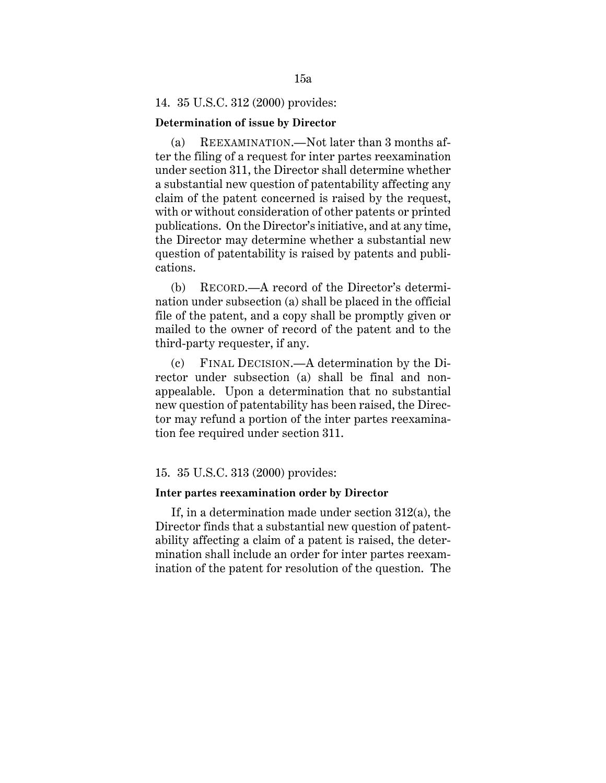## 14. 35 U.S.C. 312 (2000) provides:

#### **Determination of issue by Director**

(a) REEXAMINATION.—Not later than 3 months after the filing of a request for inter partes reexamination under section 311, the Director shall determine whether a substantial new question of patentability affecting any claim of the patent concerned is raised by the request, with or without consideration of other patents or printed publications. On the Director's initiative, and at any time, the Director may determine whether a substantial new question of patentability is raised by patents and publications.

(b) RECORD.—A record of the Director's determination under subsection (a) shall be placed in the official file of the patent, and a copy shall be promptly given or mailed to the owner of record of the patent and to the third-party requester, if any.

(c) FINAL DECISION.—A determination by the Director under subsection (a) shall be final and nonappealable. Upon a determination that no substantial new question of patentability has been raised, the Director may refund a portion of the inter partes reexamination fee required under section 311.

#### 15. 35 U.S.C. 313 (2000) provides:

#### **Inter partes reexamination order by Director**

If, in a determination made under section 312(a), the Director finds that a substantial new question of patentability affecting a claim of a patent is raised, the determination shall include an order for inter partes reexamination of the patent for resolution of the question. The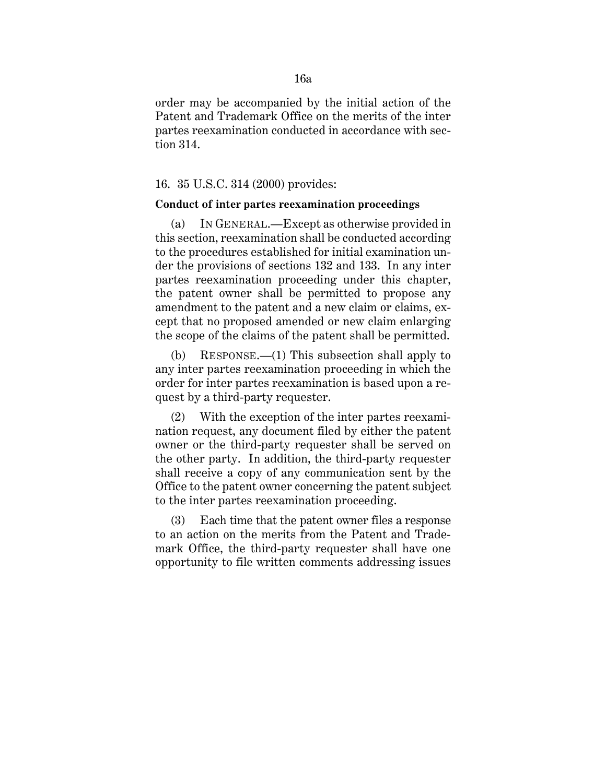order may be accompanied by the initial action of the Patent and Trademark Office on the merits of the inter partes reexamination conducted in accordance with section 314.

#### 16. 35 U.S.C. 314 (2000) provides:

#### **Conduct of inter partes reexamination proceedings**

(a) IN GENERAL.—Except as otherwise provided in this section, reexamination shall be conducted according to the procedures established for initial examination under the provisions of sections 132 and 133. In any inter partes reexamination proceeding under this chapter, the patent owner shall be permitted to propose any amendment to the patent and a new claim or claims, except that no proposed amended or new claim enlarging the scope of the claims of the patent shall be permitted.

(b) RESPONSE.—(1) This subsection shall apply to any inter partes reexamination proceeding in which the order for inter partes reexamination is based upon a request by a third-party requester.

(2) With the exception of the inter partes reexamination request, any document filed by either the patent owner or the third-party requester shall be served on the other party. In addition, the third-party requester shall receive a copy of any communication sent by the Office to the patent owner concerning the patent subject to the inter partes reexamination proceeding.

(3) Each time that the patent owner files a response to an action on the merits from the Patent and Trademark Office, the third-party requester shall have one opportunity to file written comments addressing issues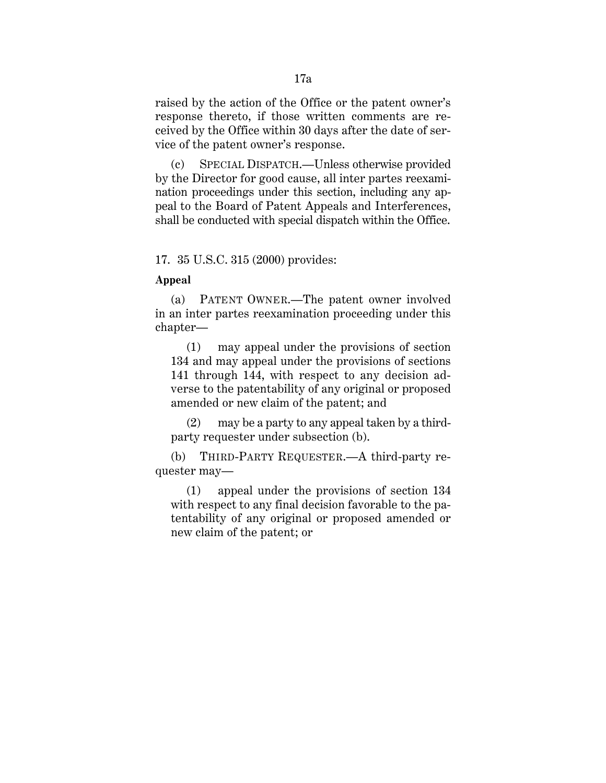raised by the action of the Office or the patent owner's response thereto, if those written comments are received by the Office within 30 days after the date of service of the patent owner's response.

(c) SPECIAL DISPATCH.—Unless otherwise provided by the Director for good cause, all inter partes reexamination proceedings under this section, including any appeal to the Board of Patent Appeals and Interferences, shall be conducted with special dispatch within the Office.

17. 35 U.S.C. 315 (2000) provides:

#### **Appeal**

(a) PATENT OWNER.—The patent owner involved in an inter partes reexamination proceeding under this chapter—

(1) may appeal under the provisions of section 134 and may appeal under the provisions of sections 141 through 144, with respect to any decision adverse to the patentability of any original or proposed amended or new claim of the patent; and

(2) may be a party to any appeal taken by a thirdparty requester under subsection (b).

(b) THIRD-PARTY REQUESTER.—A third-party requester may—

(1) appeal under the provisions of section 134 with respect to any final decision favorable to the patentability of any original or proposed amended or new claim of the patent; or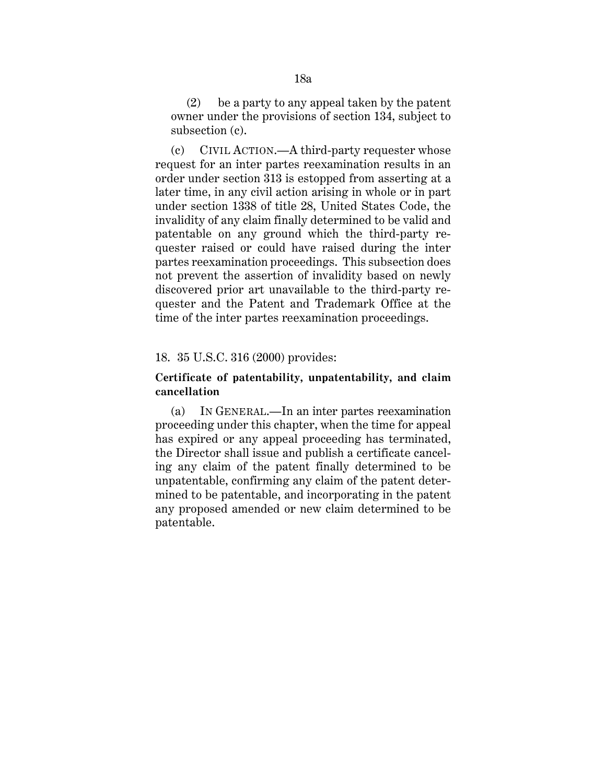(2) be a party to any appeal taken by the patent owner under the provisions of section 134, subject to subsection (c).

(c) CIVIL ACTION.—A third-party requester whose request for an inter partes reexamination results in an order under section 313 is estopped from asserting at a later time, in any civil action arising in whole or in part under section 1338 of title 28, United States Code, the invalidity of any claim finally determined to be valid and patentable on any ground which the third-party requester raised or could have raised during the inter partes reexamination proceedings. This subsection does not prevent the assertion of invalidity based on newly discovered prior art unavailable to the third-party requester and the Patent and Trademark Office at the time of the inter partes reexamination proceedings.

#### 18. 35 U.S.C. 316 (2000) provides:

## **Certificate of patentability, unpatentability, and claim cancellation**

(a) IN GENERAL.—In an inter partes reexamination proceeding under this chapter, when the time for appeal has expired or any appeal proceeding has terminated, the Director shall issue and publish a certificate canceling any claim of the patent finally determined to be unpatentable, confirming any claim of the patent determined to be patentable, and incorporating in the patent any proposed amended or new claim determined to be patentable.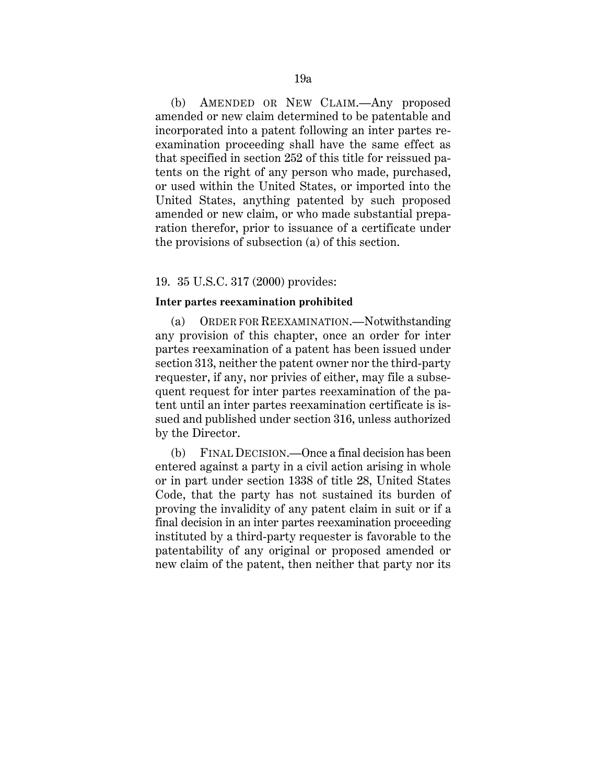(b) AMENDED OR NEW CLAIM.—Any proposed amended or new claim determined to be patentable and incorporated into a patent following an inter partes reexamination proceeding shall have the same effect as that specified in section 252 of this title for reissued patents on the right of any person who made, purchased, or used within the United States, or imported into the United States, anything patented by such proposed amended or new claim, or who made substantial preparation therefor, prior to issuance of a certificate under the provisions of subsection (a) of this section.

#### 19. 35 U.S.C. 317 (2000) provides:

#### **Inter partes reexamination prohibited**

(a) ORDER FOR REEXAMINATION.—Notwithstanding any provision of this chapter, once an order for inter partes reexamination of a patent has been issued under section 313, neither the patent owner nor the third-party requester, if any, nor privies of either, may file a subsequent request for inter partes reexamination of the patent until an inter partes reexamination certificate is issued and published under section 316, unless authorized by the Director.

(b) FINAL DECISION.—Once a final decision has been entered against a party in a civil action arising in whole or in part under section 1338 of title 28, United States Code, that the party has not sustained its burden of proving the invalidity of any patent claim in suit or if a final decision in an inter partes reexamination proceeding instituted by a third-party requester is favorable to the patentability of any original or proposed amended or new claim of the patent, then neither that party nor its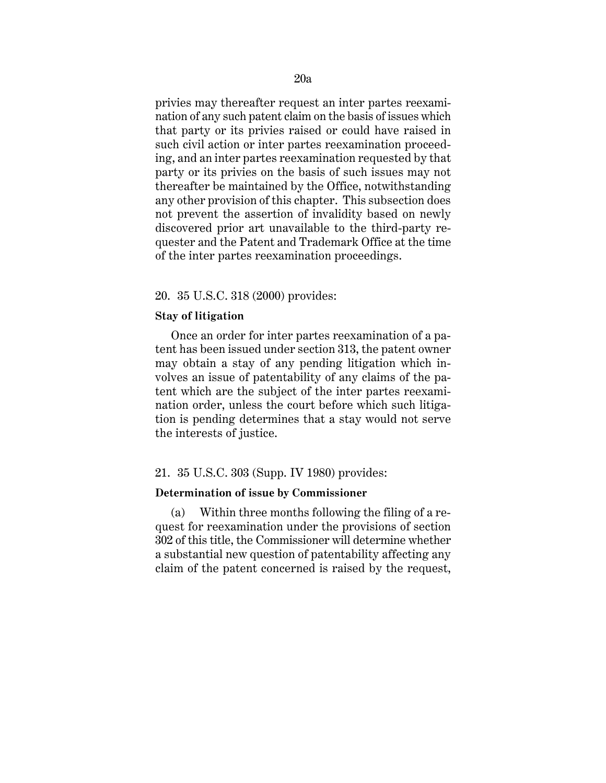privies may thereafter request an inter partes reexamination of any such patent claim on the basis of issues which that party or its privies raised or could have raised in such civil action or inter partes reexamination proceeding, and an inter partes reexamination requested by that party or its privies on the basis of such issues may not thereafter be maintained by the Office, notwithstanding any other provision of this chapter. This subsection does not prevent the assertion of invalidity based on newly discovered prior art unavailable to the third-party requester and the Patent and Trademark Office at the time of the inter partes reexamination proceedings.

#### 20. 35 U.S.C. 318 (2000) provides:

#### **Stay of litigation**

Once an order for inter partes reexamination of a patent has been issued under section 313, the patent owner may obtain a stay of any pending litigation which involves an issue of patentability of any claims of the patent which are the subject of the inter partes reexamination order, unless the court before which such litigation is pending determines that a stay would not serve the interests of justice.

## 21. 35 U.S.C. 303 (Supp. IV 1980) provides:

#### **Determination of issue by Commissioner**

(a) Within three months following the filing of a request for reexamination under the provisions of section 302 of this title, the Commissioner will determine whether a substantial new question of patentability affecting any claim of the patent concerned is raised by the request,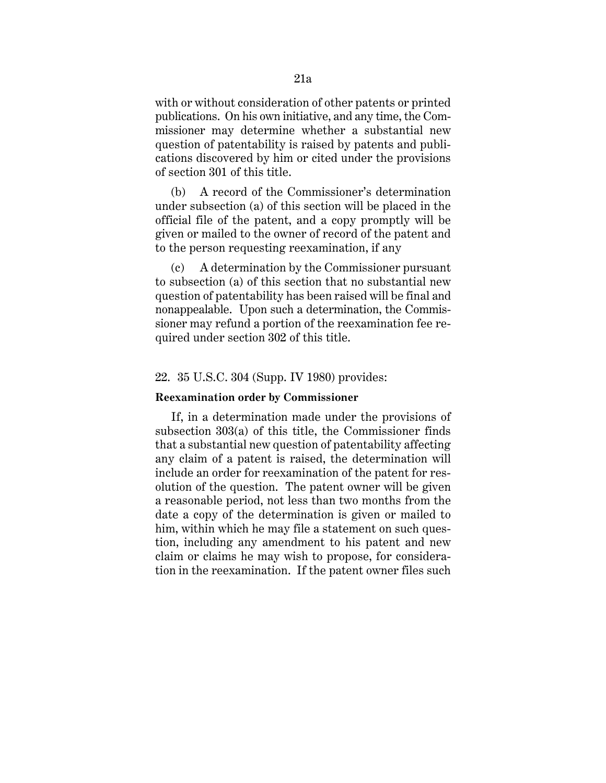with or without consideration of other patents or printed publications. On his own initiative, and any time, the Commissioner may determine whether a substantial new question of patentability is raised by patents and publications discovered by him or cited under the provisions of section 301 of this title.

(b) A record of the Commissioner's determination under subsection (a) of this section will be placed in the official file of the patent, and a copy promptly will be given or mailed to the owner of record of the patent and to the person requesting reexamination, if any

(c) A determination by the Commissioner pursuant to subsection (a) of this section that no substantial new question of patentability has been raised will be final and nonappealable. Upon such a determination, the Commissioner may refund a portion of the reexamination fee required under section 302 of this title.

#### 22. 35 U.S.C. 304 (Supp. IV 1980) provides:

#### **Reexamination order by Commissioner**

If, in a determination made under the provisions of subsection 303(a) of this title, the Commissioner finds that a substantial new question of patentability affecting any claim of a patent is raised, the determination will include an order for reexamination of the patent for resolution of the question. The patent owner will be given a reasonable period, not less than two months from the date a copy of the determination is given or mailed to him, within which he may file a statement on such question, including any amendment to his patent and new claim or claims he may wish to propose, for consideration in the reexamination. If the patent owner files such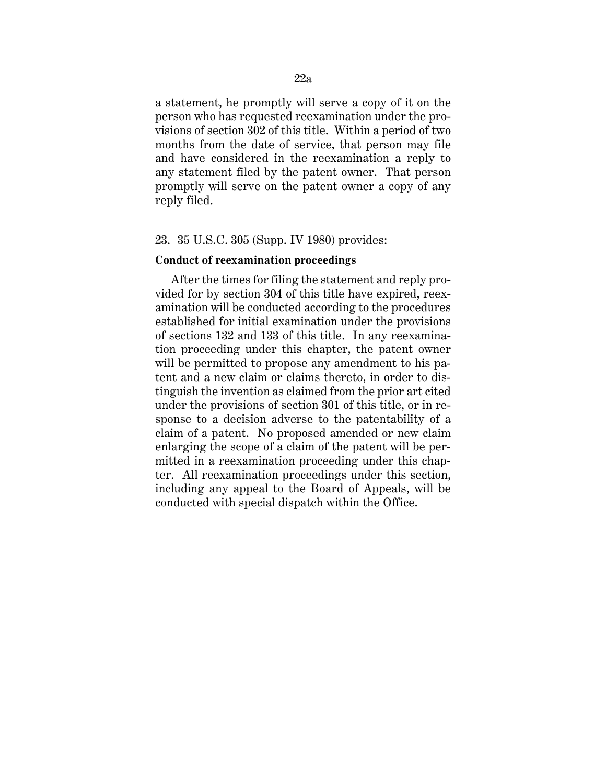a statement, he promptly will serve a copy of it on the person who has requested reexamination under the provisions of section 302 of this title. Within a period of two months from the date of service, that person may file and have considered in the reexamination a reply to any statement filed by the patent owner. That person promptly will serve on the patent owner a copy of any reply filed.

## 23. 35 U.S.C. 305 (Supp. IV 1980) provides:

#### **Conduct of reexamination proceedings**

After the times for filing the statement and reply provided for by section 304 of this title have expired, reexamination will be conducted according to the procedures established for initial examination under the provisions of sections 132 and 133 of this title. In any reexamination proceeding under this chapter, the patent owner will be permitted to propose any amendment to his patent and a new claim or claims thereto, in order to distinguish the invention as claimed from the prior art cited under the provisions of section 301 of this title, or in response to a decision adverse to the patentability of a claim of a patent. No proposed amended or new claim enlarging the scope of a claim of the patent will be permitted in a reexamination proceeding under this chapter. All reexamination proceedings under this section, including any appeal to the Board of Appeals, will be conducted with special dispatch within the Office.